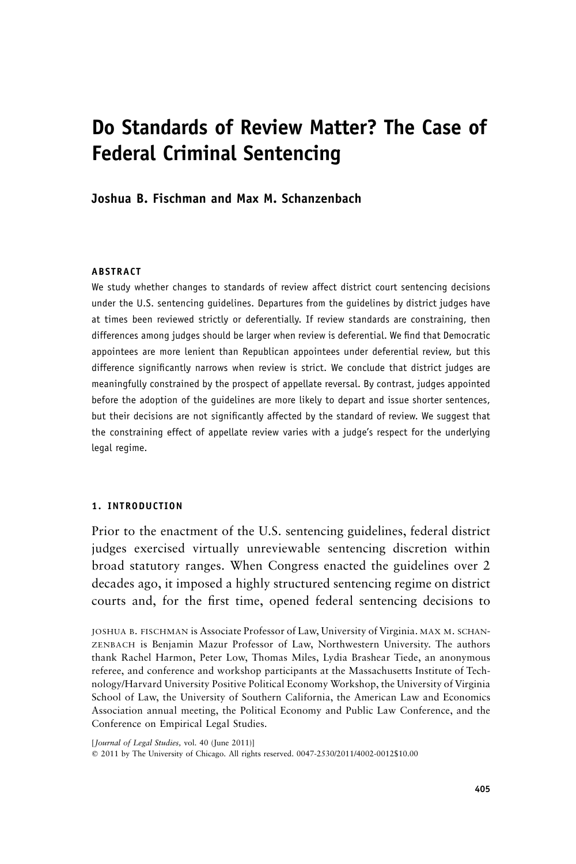# **Do Standards of Review Matter? The Case of Federal Criminal Sentencing**

**Joshua B. Fischman and Max M. Schanzenbach**

#### **ABSTRACT**

We study whether changes to standards of review affect district court sentencing decisions under the U.S. sentencing guidelines. Departures from the guidelines by district judges have at times been reviewed strictly or deferentially. If review standards are constraining, then differences among judges should be larger when review is deferential. We find that Democratic appointees are more lenient than Republican appointees under deferential review, but this difference significantly narrows when review is strict. We conclude that district judges are meaningfully constrained by the prospect of appellate reversal. By contrast, judges appointed before the adoption of the guidelines are more likely to depart and issue shorter sentences, but their decisions are not significantly affected by the standard of review. We suggest that the constraining effect of appellate review varies with a judge's respect for the underlying legal regime.

## **1. INTRODUCTION**

Prior to the enactment of the U.S. sentencing guidelines, federal district judges exercised virtually unreviewable sentencing discretion within broad statutory ranges. When Congress enacted the guidelines over 2 decades ago, it imposed a highly structured sentencing regime on district courts and, for the first time, opened federal sentencing decisions to

JOSHUA B. FISCHMAN is Associate Professor of Law, University of Virginia. MAX M. SCHAN-ZENBACH is Benjamin Mazur Professor of Law, Northwestern University. The authors thank Rachel Harmon, Peter Low, Thomas Miles, Lydia Brashear Tiede, an anonymous referee, and conference and workshop participants at the Massachusetts Institute of Technology/Harvard University Positive Political Economy Workshop, the University of Virginia School of Law, the University of Southern California, the American Law and Economics Association annual meeting, the Political Economy and Public Law Conference, and the Conference on Empirical Legal Studies.

[*Journal of Legal Studies,* vol. 40 (June 2011)]

2011 by The University of Chicago. All rights reserved. 0047-2530/2011/4002-0012\$10.00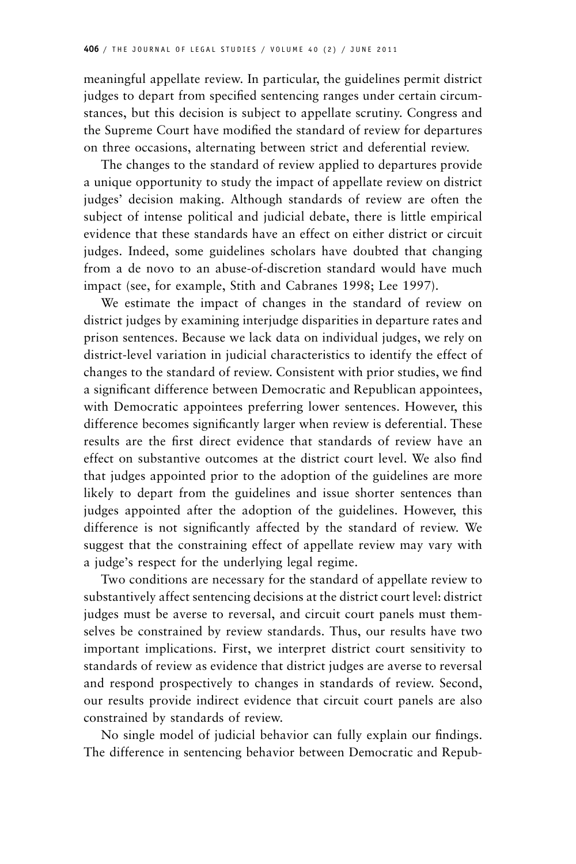meaningful appellate review. In particular, the guidelines permit district judges to depart from specified sentencing ranges under certain circumstances, but this decision is subject to appellate scrutiny. Congress and the Supreme Court have modified the standard of review for departures on three occasions, alternating between strict and deferential review.

The changes to the standard of review applied to departures provide a unique opportunity to study the impact of appellate review on district judges' decision making. Although standards of review are often the subject of intense political and judicial debate, there is little empirical evidence that these standards have an effect on either district or circuit judges. Indeed, some guidelines scholars have doubted that changing from a de novo to an abuse-of-discretion standard would have much impact (see, for example, Stith and Cabranes 1998; Lee 1997).

We estimate the impact of changes in the standard of review on district judges by examining interjudge disparities in departure rates and prison sentences. Because we lack data on individual judges, we rely on district-level variation in judicial characteristics to identify the effect of changes to the standard of review. Consistent with prior studies, we find a significant difference between Democratic and Republican appointees, with Democratic appointees preferring lower sentences. However, this difference becomes significantly larger when review is deferential. These results are the first direct evidence that standards of review have an effect on substantive outcomes at the district court level. We also find that judges appointed prior to the adoption of the guidelines are more likely to depart from the guidelines and issue shorter sentences than judges appointed after the adoption of the guidelines. However, this difference is not significantly affected by the standard of review. We suggest that the constraining effect of appellate review may vary with a judge's respect for the underlying legal regime.

Two conditions are necessary for the standard of appellate review to substantively affect sentencing decisions at the district court level: district judges must be averse to reversal, and circuit court panels must themselves be constrained by review standards. Thus, our results have two important implications. First, we interpret district court sensitivity to standards of review as evidence that district judges are averse to reversal and respond prospectively to changes in standards of review. Second, our results provide indirect evidence that circuit court panels are also constrained by standards of review.

No single model of judicial behavior can fully explain our findings. The difference in sentencing behavior between Democratic and Repub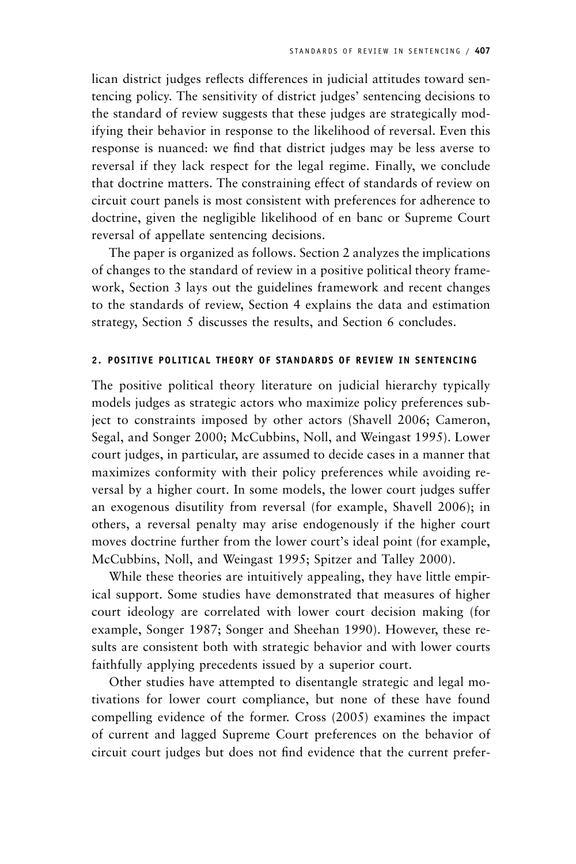lican district judges reflects differences in judicial attitudes toward sentencing policy. The sensitivity of district judges' sentencing decisions to the standard of review suggests that these judges are strategically modifying their behavior in response to the likelihood of reversal. Even this response is nuanced: we find that district judges may be less averse to reversal if they lack respect for the legal regime. Finally, we conclude that doctrine matters. The constraining effect of standards of review on circuit court panels is most consistent with preferences for adherence to doctrine, given the negligible likelihood of en banc or Supreme Court reversal of appellate sentencing decisions.

The paper is organized as follows. Section 2 analyzes the implications of changes to the standard of review in a positive political theory framework, Section 3 lays out the guidelines framework and recent changes to the standards of review, Section 4 explains the data and estimation strategy, Section 5 discusses the results, and Section 6 concludes.

# **2. POSITIVE POLITICAL THEORY OF STANDARDS OF REVIEW IN SENTENCING**

The positive political theory literature on judicial hierarchy typically models judges as strategic actors who maximize policy preferences subject to constraints imposed by other actors (Shavell 2006; Cameron, Segal, and Songer 2000; McCubbins, Noll, and Weingast 1995). Lower court judges, in particular, are assumed to decide cases in a manner that maximizes conformity with their policy preferences while avoiding reversal by a higher court. In some models, the lower court judges suffer an exogenous disutility from reversal (for example, Shavell 2006); in others, a reversal penalty may arise endogenously if the higher court moves doctrine further from the lower court's ideal point (for example, McCubbins, Noll, and Weingast 1995; Spitzer and Talley 2000).

While these theories are intuitively appealing, they have little empirical support. Some studies have demonstrated that measures of higher court ideology are correlated with lower court decision making (for example, Songer 1987; Songer and Sheehan 1990). However, these results are consistent both with strategic behavior and with lower courts faithfully applying precedents issued by a superior court.

Other studies have attempted to disentangle strategic and legal motivations for lower court compliance, but none of these have found compelling evidence of the former. Cross (2005) examines the impact of current and lagged Supreme Court preferences on the behavior of circuit court judges but does not find evidence that the current prefer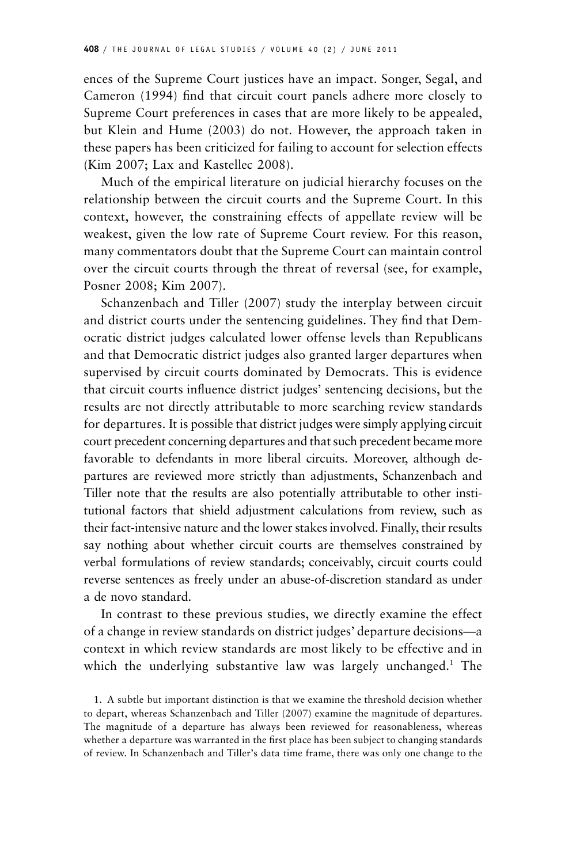ences of the Supreme Court justices have an impact. Songer, Segal, and Cameron (1994) find that circuit court panels adhere more closely to Supreme Court preferences in cases that are more likely to be appealed, but Klein and Hume (2003) do not. However, the approach taken in these papers has been criticized for failing to account for selection effects (Kim 2007; Lax and Kastellec 2008).

Much of the empirical literature on judicial hierarchy focuses on the relationship between the circuit courts and the Supreme Court. In this context, however, the constraining effects of appellate review will be weakest, given the low rate of Supreme Court review. For this reason, many commentators doubt that the Supreme Court can maintain control over the circuit courts through the threat of reversal (see, for example, Posner 2008; Kim 2007).

Schanzenbach and Tiller (2007) study the interplay between circuit and district courts under the sentencing guidelines. They find that Democratic district judges calculated lower offense levels than Republicans and that Democratic district judges also granted larger departures when supervised by circuit courts dominated by Democrats. This is evidence that circuit courts influence district judges' sentencing decisions, but the results are not directly attributable to more searching review standards for departures. It is possible that district judges were simply applying circuit court precedent concerning departures and that such precedent became more favorable to defendants in more liberal circuits. Moreover, although departures are reviewed more strictly than adjustments, Schanzenbach and Tiller note that the results are also potentially attributable to other institutional factors that shield adjustment calculations from review, such as their fact-intensive nature and the lower stakes involved. Finally, their results say nothing about whether circuit courts are themselves constrained by verbal formulations of review standards; conceivably, circuit courts could reverse sentences as freely under an abuse-of-discretion standard as under a de novo standard.

In contrast to these previous studies, we directly examine the effect of a change in review standards on district judges' departure decisions—a context in which review standards are most likely to be effective and in which the underlying substantive law was largely unchanged.<sup>1</sup> The

<sup>1.</sup> A subtle but important distinction is that we examine the threshold decision whether to depart, whereas Schanzenbach and Tiller (2007) examine the magnitude of departures. The magnitude of a departure has always been reviewed for reasonableness, whereas whether a departure was warranted in the first place has been subject to changing standards of review. In Schanzenbach and Tiller's data time frame, there was only one change to the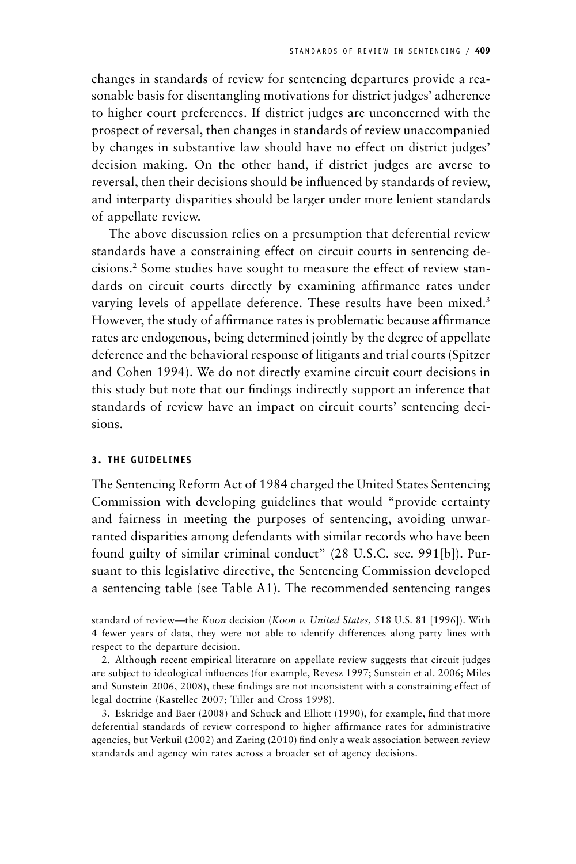changes in standards of review for sentencing departures provide a reasonable basis for disentangling motivations for district judges' adherence to higher court preferences. If district judges are unconcerned with the prospect of reversal, then changes in standards of review unaccompanied by changes in substantive law should have no effect on district judges' decision making. On the other hand, if district judges are averse to reversal, then their decisions should be influenced by standards of review, and interparty disparities should be larger under more lenient standards of appellate review.

The above discussion relies on a presumption that deferential review standards have a constraining effect on circuit courts in sentencing decisions.2 Some studies have sought to measure the effect of review standards on circuit courts directly by examining affirmance rates under varying levels of appellate deference. These results have been mixed.<sup>3</sup> However, the study of affirmance rates is problematic because affirmance rates are endogenous, being determined jointly by the degree of appellate deference and the behavioral response of litigants and trial courts (Spitzer and Cohen 1994). We do not directly examine circuit court decisions in this study but note that our findings indirectly support an inference that standards of review have an impact on circuit courts' sentencing decisions.

# **3. THE GUIDELINES**

The Sentencing Reform Act of 1984 charged the United States Sentencing Commission with developing guidelines that would "provide certainty and fairness in meeting the purposes of sentencing, avoiding unwarranted disparities among defendants with similar records who have been found guilty of similar criminal conduct" (28 U.S.C. sec. 991[b]). Pursuant to this legislative directive, the Sentencing Commission developed a sentencing table (see Table A1). The recommended sentencing ranges

standard of review—the *Koon* decision (*Koon v. United States,* 518 U.S. 81 [1996]). With 4 fewer years of data, they were not able to identify differences along party lines with respect to the departure decision.

<sup>2.</sup> Although recent empirical literature on appellate review suggests that circuit judges are subject to ideological influences (for example, Revesz 1997; Sunstein et al. 2006; Miles and Sunstein 2006, 2008), these findings are not inconsistent with a constraining effect of legal doctrine (Kastellec 2007; Tiller and Cross 1998).

<sup>3.</sup> Eskridge and Baer (2008) and Schuck and Elliott (1990), for example, find that more deferential standards of review correspond to higher affirmance rates for administrative agencies, but Verkuil (2002) and Zaring (2010) find only a weak association between review standards and agency win rates across a broader set of agency decisions.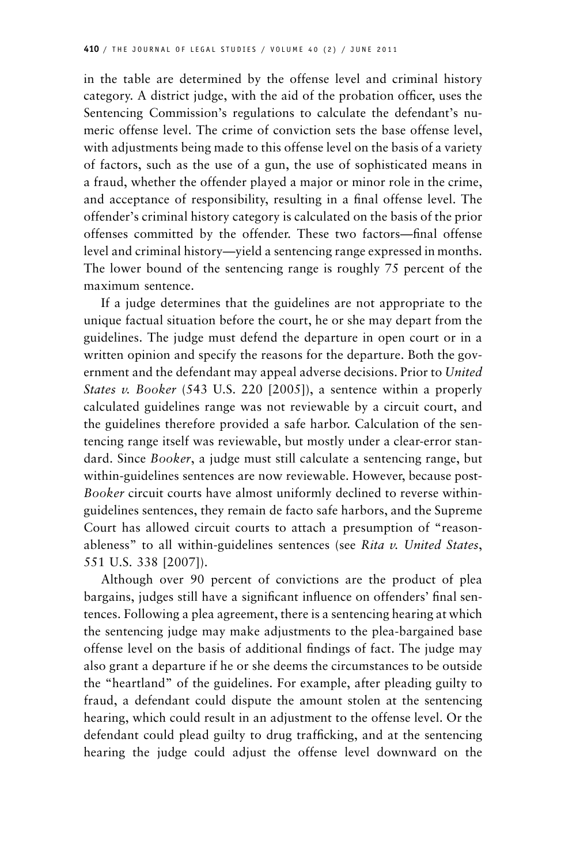in the table are determined by the offense level and criminal history category. A district judge, with the aid of the probation officer, uses the Sentencing Commission's regulations to calculate the defendant's numeric offense level. The crime of conviction sets the base offense level, with adjustments being made to this offense level on the basis of a variety of factors, such as the use of a gun, the use of sophisticated means in a fraud, whether the offender played a major or minor role in the crime, and acceptance of responsibility, resulting in a final offense level. The offender's criminal history category is calculated on the basis of the prior offenses committed by the offender. These two factors—final offense level and criminal history—yield a sentencing range expressed in months. The lower bound of the sentencing range is roughly 75 percent of the maximum sentence.

If a judge determines that the guidelines are not appropriate to the unique factual situation before the court, he or she may depart from the guidelines. The judge must defend the departure in open court or in a written opinion and specify the reasons for the departure. Both the government and the defendant may appeal adverse decisions. Prior to *United States v. Booker* (543 U.S. 220 [2005]), a sentence within a properly calculated guidelines range was not reviewable by a circuit court, and the guidelines therefore provided a safe harbor. Calculation of the sentencing range itself was reviewable, but mostly under a clear-error standard. Since *Booker*, a judge must still calculate a sentencing range, but within-guidelines sentences are now reviewable. However, because post-*Booker* circuit courts have almost uniformly declined to reverse withinguidelines sentences, they remain de facto safe harbors, and the Supreme Court has allowed circuit courts to attach a presumption of "reasonableness" to all within-guidelines sentences (see *Rita v. United States*, 551 U.S. 338 [2007]).

Although over 90 percent of convictions are the product of plea bargains, judges still have a significant influence on offenders' final sentences. Following a plea agreement, there is a sentencing hearing at which the sentencing judge may make adjustments to the plea-bargained base offense level on the basis of additional findings of fact. The judge may also grant a departure if he or she deems the circumstances to be outside the "heartland" of the guidelines. For example, after pleading guilty to fraud, a defendant could dispute the amount stolen at the sentencing hearing, which could result in an adjustment to the offense level. Or the defendant could plead guilty to drug trafficking, and at the sentencing hearing the judge could adjust the offense level downward on the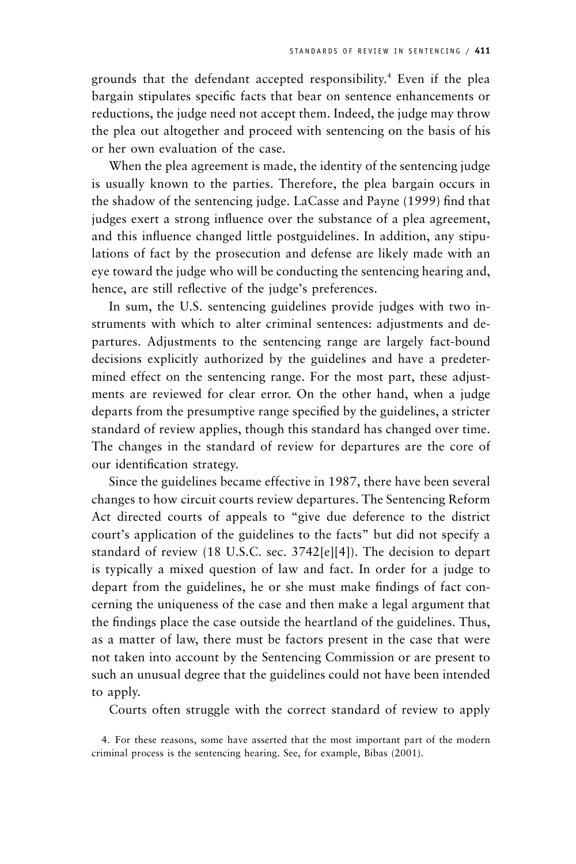grounds that the defendant accepted responsibility.4 Even if the plea bargain stipulates specific facts that bear on sentence enhancements or reductions, the judge need not accept them. Indeed, the judge may throw the plea out altogether and proceed with sentencing on the basis of his or her own evaluation of the case.

When the plea agreement is made, the identity of the sentencing judge is usually known to the parties. Therefore, the plea bargain occurs in the shadow of the sentencing judge. LaCasse and Payne (1999) find that judges exert a strong influence over the substance of a plea agreement, and this influence changed little postguidelines. In addition, any stipulations of fact by the prosecution and defense are likely made with an eye toward the judge who will be conducting the sentencing hearing and, hence, are still reflective of the judge's preferences.

In sum, the U.S. sentencing guidelines provide judges with two instruments with which to alter criminal sentences: adjustments and departures. Adjustments to the sentencing range are largely fact-bound decisions explicitly authorized by the guidelines and have a predetermined effect on the sentencing range. For the most part, these adjustments are reviewed for clear error. On the other hand, when a judge departs from the presumptive range specified by the guidelines, a stricter standard of review applies, though this standard has changed over time. The changes in the standard of review for departures are the core of our identification strategy.

Since the guidelines became effective in 1987, there have been several changes to how circuit courts review departures. The Sentencing Reform Act directed courts of appeals to "give due deference to the district court's application of the guidelines to the facts" but did not specify a standard of review (18 U.S.C. sec. 3742[e][4]). The decision to depart is typically a mixed question of law and fact. In order for a judge to depart from the guidelines, he or she must make findings of fact concerning the uniqueness of the case and then make a legal argument that the findings place the case outside the heartland of the guidelines. Thus, as a matter of law, there must be factors present in the case that were not taken into account by the Sentencing Commission or are present to such an unusual degree that the guidelines could not have been intended to apply.

Courts often struggle with the correct standard of review to apply

<sup>4.</sup> For these reasons, some have asserted that the most important part of the modern criminal process is the sentencing hearing. See, for example, Bibas (2001).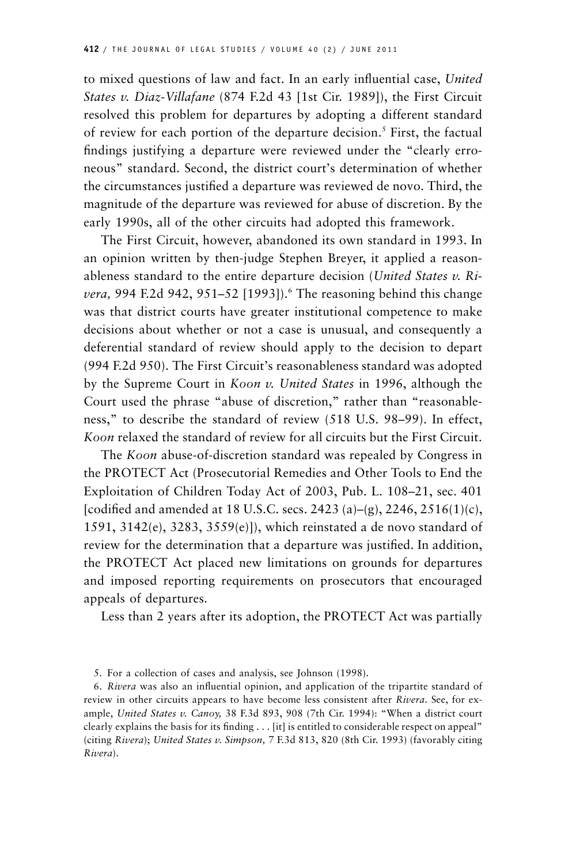to mixed questions of law and fact. In an early influential case, *United States v. Diaz-Villafane* (874 F.2d 43 [1st Cir. 1989]), the First Circuit resolved this problem for departures by adopting a different standard of review for each portion of the departure decision.<sup>5</sup> First, the factual findings justifying a departure were reviewed under the "clearly erroneous" standard. Second, the district court's determination of whether the circumstances justified a departure was reviewed de novo. Third, the magnitude of the departure was reviewed for abuse of discretion. By the early 1990s, all of the other circuits had adopted this framework.

The First Circuit, however, abandoned its own standard in 1993. In an opinion written by then-judge Stephen Breyer, it applied a reasonableness standard to the entire departure decision (*United States v. Rivera*, 994 F.2d 942, 951–52 [1993]).<sup>6</sup> The reasoning behind this change was that district courts have greater institutional competence to make decisions about whether or not a case is unusual, and consequently a deferential standard of review should apply to the decision to depart (994 F.2d 950). The First Circuit's reasonableness standard was adopted by the Supreme Court in *Koon v. United States* in 1996, although the Court used the phrase "abuse of discretion," rather than "reasonableness," to describe the standard of review (518 U.S. 98–99). In effect, *Koon* relaxed the standard of review for all circuits but the First Circuit.

The *Koon* abuse-of-discretion standard was repealed by Congress in the PROTECT Act (Prosecutorial Remedies and Other Tools to End the Exploitation of Children Today Act of 2003, Pub. L. 108–21, sec. 401 [codified and amended at 18 U.S.C. secs. 2423 (a)–(g), 2246, 2516(1)(c), 1591, 3142(e), 3283, 3559(e)]), which reinstated a de novo standard of review for the determination that a departure was justified. In addition, the PROTECT Act placed new limitations on grounds for departures and imposed reporting requirements on prosecutors that encouraged appeals of departures.

Less than 2 years after its adoption, the PROTECT Act was partially

<sup>5.</sup> For a collection of cases and analysis, see Johnson (1998).

<sup>6.</sup> *Rivera* was also an influential opinion, and application of the tripartite standard of review in other circuits appears to have become less consistent after *Rivera*. See, for example, *United States v. Canoy,* 38 F.3d 893, 908 (7th Cir. 1994): "When a district court clearly explains the basis for its finding . . . [it] is entitled to considerable respect on appeal" (citing *Rivera*); *United States v. Simpson,* 7 F.3d 813, 820 (8th Cir. 1993) (favorably citing *Rivera*).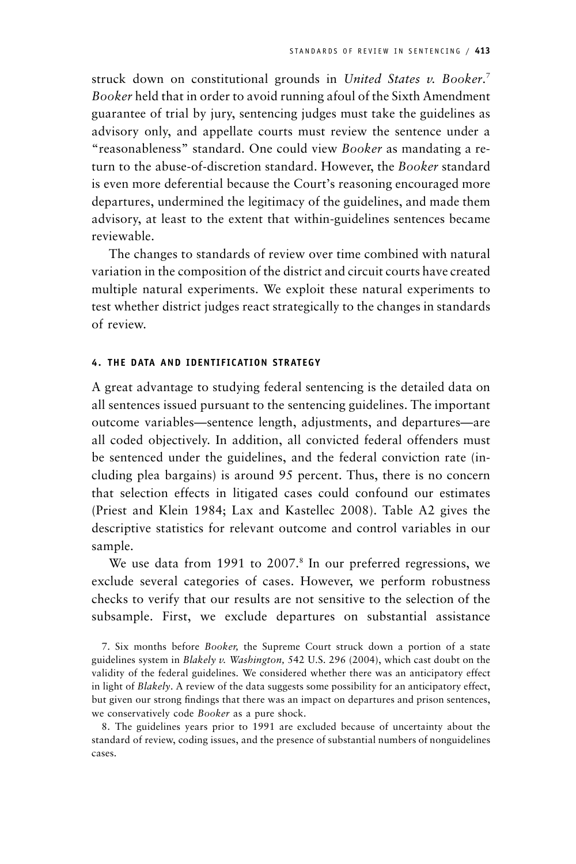struck down on constitutional grounds in *United States v. Booker*. 7 *Booker* held that in order to avoid running afoul of the Sixth Amendment guarantee of trial by jury, sentencing judges must take the guidelines as advisory only, and appellate courts must review the sentence under a "reasonableness" standard. One could view *Booker* as mandating a return to the abuse-of-discretion standard. However, the *Booker* standard is even more deferential because the Court's reasoning encouraged more departures, undermined the legitimacy of the guidelines, and made them advisory, at least to the extent that within-guidelines sentences became reviewable.

The changes to standards of review over time combined with natural variation in the composition of the district and circuit courts have created multiple natural experiments. We exploit these natural experiments to test whether district judges react strategically to the changes in standards of review.

## **4. THE DATA AND IDENTIFICATION STRATEGY**

A great advantage to studying federal sentencing is the detailed data on all sentences issued pursuant to the sentencing guidelines. The important outcome variables—sentence length, adjustments, and departures—are all coded objectively. In addition, all convicted federal offenders must be sentenced under the guidelines, and the federal conviction rate (including plea bargains) is around 95 percent. Thus, there is no concern that selection effects in litigated cases could confound our estimates (Priest and Klein 1984; Lax and Kastellec 2008). Table A2 gives the descriptive statistics for relevant outcome and control variables in our sample.

We use data from 1991 to 2007.<sup>8</sup> In our preferred regressions, we exclude several categories of cases. However, we perform robustness checks to verify that our results are not sensitive to the selection of the subsample. First, we exclude departures on substantial assistance

7. Six months before *Booker,* the Supreme Court struck down a portion of a state guidelines system in *Blakely v. Washington,* 542 U.S. 296 (2004), which cast doubt on the validity of the federal guidelines. We considered whether there was an anticipatory effect in light of *Blakely*. A review of the data suggests some possibility for an anticipatory effect, but given our strong findings that there was an impact on departures and prison sentences, we conservatively code *Booker* as a pure shock.

8. The guidelines years prior to 1991 are excluded because of uncertainty about the standard of review, coding issues, and the presence of substantial numbers of nonguidelines cases.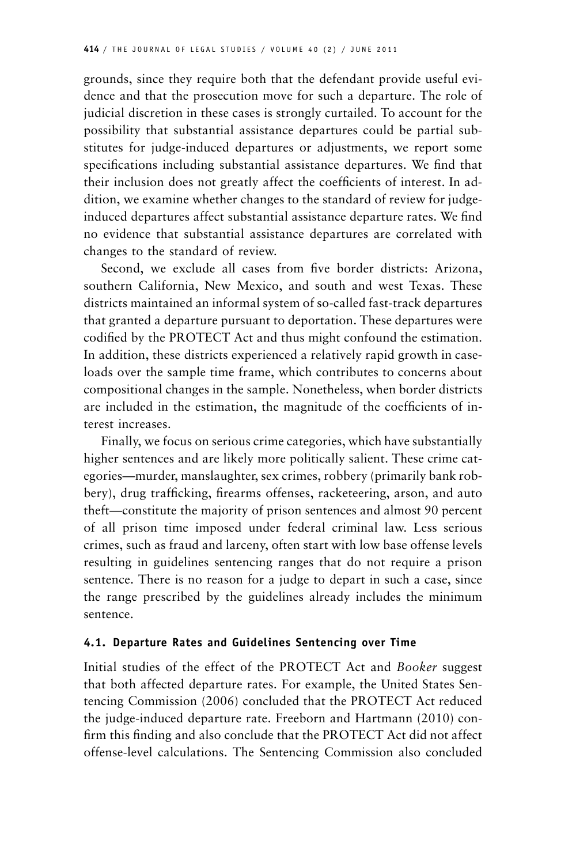grounds, since they require both that the defendant provide useful evidence and that the prosecution move for such a departure. The role of judicial discretion in these cases is strongly curtailed. To account for the possibility that substantial assistance departures could be partial substitutes for judge-induced departures or adjustments, we report some specifications including substantial assistance departures. We find that their inclusion does not greatly affect the coefficients of interest. In addition, we examine whether changes to the standard of review for judgeinduced departures affect substantial assistance departure rates. We find no evidence that substantial assistance departures are correlated with changes to the standard of review.

Second, we exclude all cases from five border districts: Arizona, southern California, New Mexico, and south and west Texas. These districts maintained an informal system of so-called fast-track departures that granted a departure pursuant to deportation. These departures were codified by the PROTECT Act and thus might confound the estimation. In addition, these districts experienced a relatively rapid growth in caseloads over the sample time frame, which contributes to concerns about compositional changes in the sample. Nonetheless, when border districts are included in the estimation, the magnitude of the coefficients of interest increases.

Finally, we focus on serious crime categories, which have substantially higher sentences and are likely more politically salient. These crime categories—murder, manslaughter, sex crimes, robbery (primarily bank robbery), drug trafficking, firearms offenses, racketeering, arson, and auto theft—constitute the majority of prison sentences and almost 90 percent of all prison time imposed under federal criminal law. Less serious crimes, such as fraud and larceny, often start with low base offense levels resulting in guidelines sentencing ranges that do not require a prison sentence. There is no reason for a judge to depart in such a case, since the range prescribed by the guidelines already includes the minimum sentence.

## **4.1. Departure Rates and Guidelines Sentencing over Time**

Initial studies of the effect of the PROTECT Act and *Booker* suggest that both affected departure rates. For example, the United States Sentencing Commission (2006) concluded that the PROTECT Act reduced the judge-induced departure rate. Freeborn and Hartmann (2010) confirm this finding and also conclude that the PROTECT Act did not affect offense-level calculations. The Sentencing Commission also concluded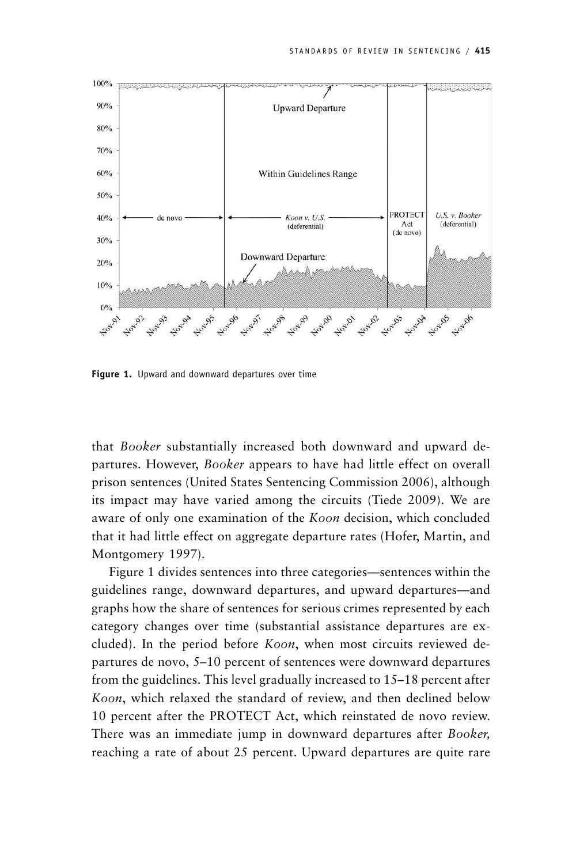

**Figure 1.** Upward and downward departures over time

that *Booker* substantially increased both downward and upward departures. However, *Booker* appears to have had little effect on overall prison sentences (United States Sentencing Commission 2006), although its impact may have varied among the circuits (Tiede 2009). We are aware of only one examination of the *Koon* decision, which concluded that it had little effect on aggregate departure rates (Hofer, Martin, and Montgomery 1997).

Figure 1 divides sentences into three categories—sentences within the guidelines range, downward departures, and upward departures—and graphs how the share of sentences for serious crimes represented by each category changes over time (substantial assistance departures are excluded). In the period before *Koon*, when most circuits reviewed departures de novo, 5–10 percent of sentences were downward departures from the guidelines. This level gradually increased to 15–18 percent after *Koon*, which relaxed the standard of review, and then declined below 10 percent after the PROTECT Act, which reinstated de novo review. There was an immediate jump in downward departures after *Booker,* reaching a rate of about 25 percent. Upward departures are quite rare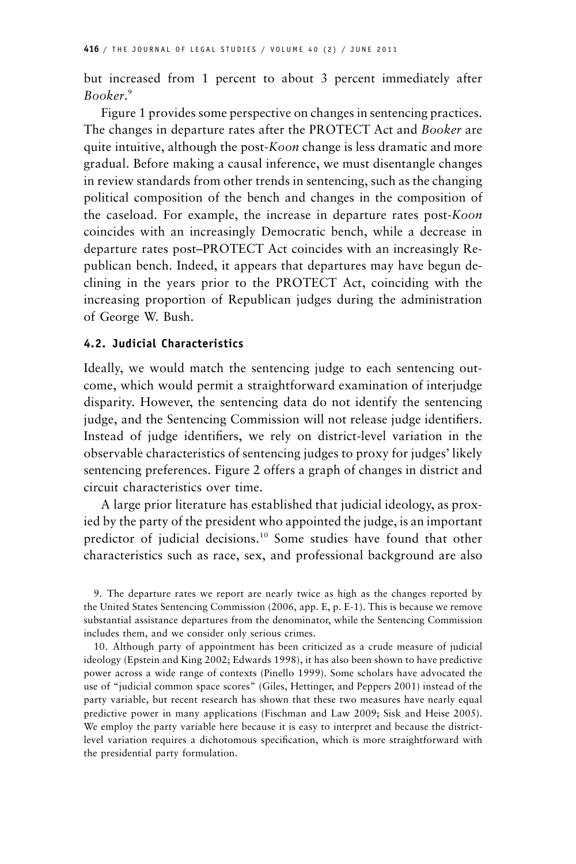but increased from 1 percent to about 3 percent immediately after *Booker*. 9

Figure 1 provides some perspective on changes in sentencing practices. The changes in departure rates after the PROTECT Act and *Booker* are quite intuitive, although the post-*Koon* change is less dramatic and more gradual. Before making a causal inference, we must disentangle changes in review standards from other trends in sentencing, such as the changing political composition of the bench and changes in the composition of the caseload. For example, the increase in departure rates post-*Koon* coincides with an increasingly Democratic bench, while a decrease in departure rates post–PROTECT Act coincides with an increasingly Republican bench. Indeed, it appears that departures may have begun declining in the years prior to the PROTECT Act, coinciding with the increasing proportion of Republican judges during the administration of George W. Bush.

# **4.2. Judicial Characteristics**

Ideally, we would match the sentencing judge to each sentencing outcome, which would permit a straightforward examination of interjudge disparity. However, the sentencing data do not identify the sentencing judge, and the Sentencing Commission will not release judge identifiers. Instead of judge identifiers, we rely on district-level variation in the observable characteristics of sentencing judges to proxy for judges' likely sentencing preferences. Figure 2 offers a graph of changes in district and circuit characteristics over time.

A large prior literature has established that judicial ideology, as proxied by the party of the president who appointed the judge, is an important predictor of judicial decisions.<sup>10</sup> Some studies have found that other characteristics such as race, sex, and professional background are also

9. The departure rates we report are nearly twice as high as the changes reported by the United States Sentencing Commission (2006, app. E, p. E-1). This is because we remove substantial assistance departures from the denominator, while the Sentencing Commission includes them, and we consider only serious crimes.

10. Although party of appointment has been criticized as a crude measure of judicial ideology (Epstein and King 2002; Edwards 1998), it has also been shown to have predictive power across a wide range of contexts (Pinello 1999). Some scholars have advocated the use of "judicial common space scores" (Giles, Hettinger, and Peppers 2001) instead of the party variable, but recent research has shown that these two measures have nearly equal predictive power in many applications (Fischman and Law 2009; Sisk and Heise 2005). We employ the party variable here because it is easy to interpret and because the districtlevel variation requires a dichotomous specification, which is more straightforward with the presidential party formulation.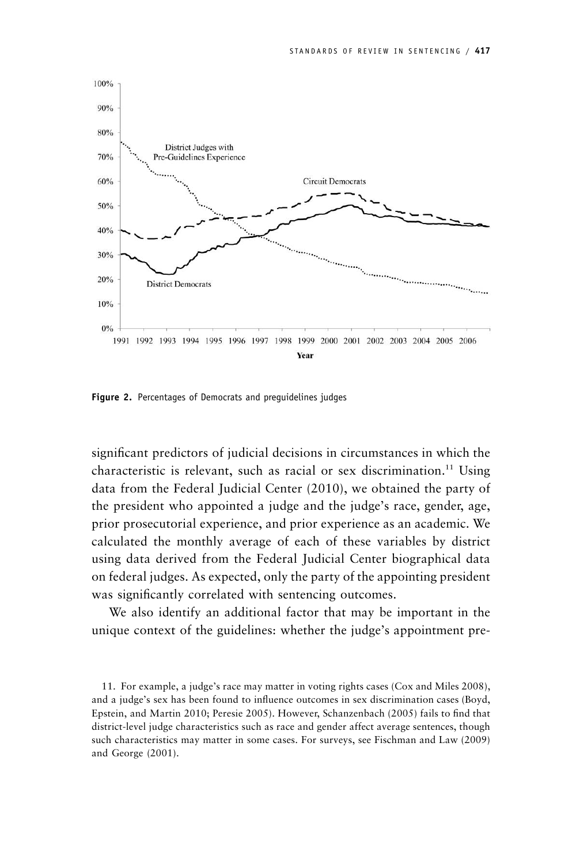

**Figure 2.** Percentages of Democrats and preguidelines judges

significant predictors of judicial decisions in circumstances in which the characteristic is relevant, such as racial or sex discrimination.<sup>11</sup> Using data from the Federal Judicial Center (2010), we obtained the party of the president who appointed a judge and the judge's race, gender, age, prior prosecutorial experience, and prior experience as an academic. We calculated the monthly average of each of these variables by district using data derived from the Federal Judicial Center biographical data on federal judges. As expected, only the party of the appointing president was significantly correlated with sentencing outcomes.

We also identify an additional factor that may be important in the unique context of the guidelines: whether the judge's appointment pre-

11. For example, a judge's race may matter in voting rights cases (Cox and Miles 2008), and a judge's sex has been found to influence outcomes in sex discrimination cases (Boyd, Epstein, and Martin 2010; Peresie 2005). However, Schanzenbach (2005) fails to find that district-level judge characteristics such as race and gender affect average sentences, though such characteristics may matter in some cases. For surveys, see Fischman and Law (2009) and George (2001).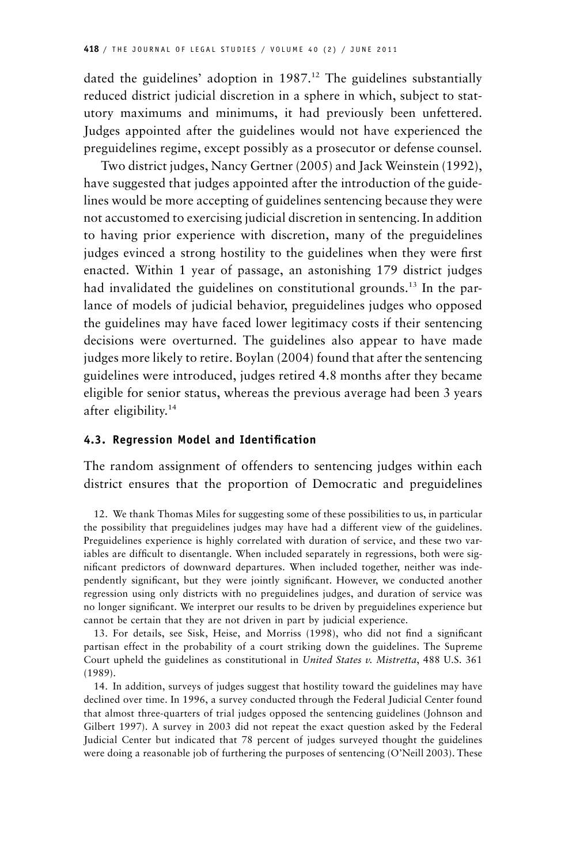dated the guidelines' adoption in  $1987<sup>12</sup>$ . The guidelines substantially reduced district judicial discretion in a sphere in which, subject to statutory maximums and minimums, it had previously been unfettered. Judges appointed after the guidelines would not have experienced the preguidelines regime, except possibly as a prosecutor or defense counsel.

Two district judges, Nancy Gertner (2005) and Jack Weinstein (1992), have suggested that judges appointed after the introduction of the guidelines would be more accepting of guidelines sentencing because they were not accustomed to exercising judicial discretion in sentencing. In addition to having prior experience with discretion, many of the preguidelines judges evinced a strong hostility to the guidelines when they were first enacted. Within 1 year of passage, an astonishing 179 district judges had invalidated the guidelines on constitutional grounds.<sup>13</sup> In the parlance of models of judicial behavior, preguidelines judges who opposed the guidelines may have faced lower legitimacy costs if their sentencing decisions were overturned. The guidelines also appear to have made judges more likely to retire. Boylan (2004) found that after the sentencing guidelines were introduced, judges retired 4.8 months after they became eligible for senior status, whereas the previous average had been 3 years after eligibility.14

# **4.3. Regression Model and Identification**

The random assignment of offenders to sentencing judges within each district ensures that the proportion of Democratic and preguidelines

12. We thank Thomas Miles for suggesting some of these possibilities to us, in particular the possibility that preguidelines judges may have had a different view of the guidelines. Preguidelines experience is highly correlated with duration of service, and these two variables are difficult to disentangle. When included separately in regressions, both were significant predictors of downward departures. When included together, neither was independently significant, but they were jointly significant. However, we conducted another regression using only districts with no preguidelines judges, and duration of service was no longer significant. We interpret our results to be driven by preguidelines experience but cannot be certain that they are not driven in part by judicial experience.

13. For details, see Sisk, Heise, and Morriss (1998), who did not find a significant partisan effect in the probability of a court striking down the guidelines. The Supreme Court upheld the guidelines as constitutional in *United States v. Mistretta*, 488 U.S. 361 (1989).

14. In addition, surveys of judges suggest that hostility toward the guidelines may have declined over time. In 1996, a survey conducted through the Federal Judicial Center found that almost three-quarters of trial judges opposed the sentencing guidelines (Johnson and Gilbert 1997). A survey in 2003 did not repeat the exact question asked by the Federal Judicial Center but indicated that 78 percent of judges surveyed thought the guidelines were doing a reasonable job of furthering the purposes of sentencing (O'Neill 2003). These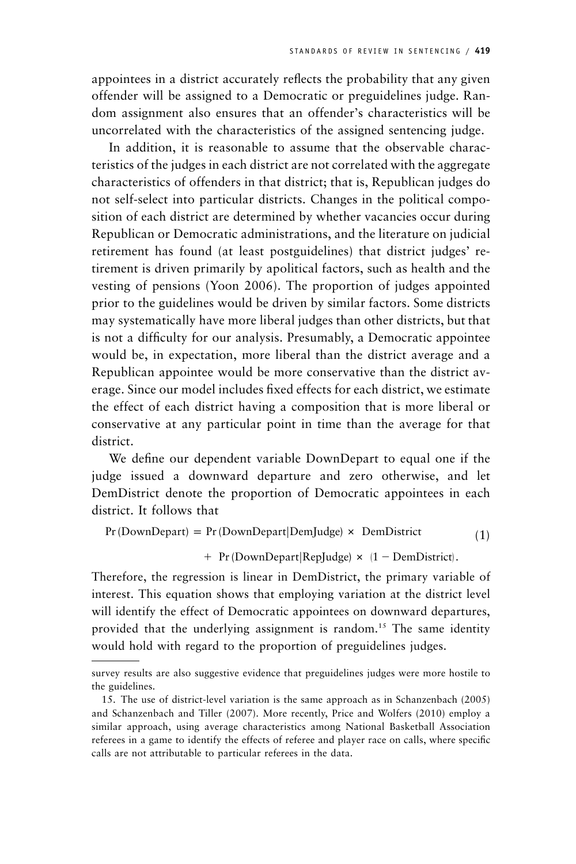appointees in a district accurately reflects the probability that any given offender will be assigned to a Democratic or preguidelines judge. Random assignment also ensures that an offender's characteristics will be uncorrelated with the characteristics of the assigned sentencing judge.

In addition, it is reasonable to assume that the observable characteristics of the judges in each district are not correlated with the aggregate characteristics of offenders in that district; that is, Republican judges do not self-select into particular districts. Changes in the political composition of each district are determined by whether vacancies occur during Republican or Democratic administrations, and the literature on judicial retirement has found (at least postguidelines) that district judges' retirement is driven primarily by apolitical factors, such as health and the vesting of pensions (Yoon 2006). The proportion of judges appointed prior to the guidelines would be driven by similar factors. Some districts may systematically have more liberal judges than other districts, but that is not a difficulty for our analysis. Presumably, a Democratic appointee would be, in expectation, more liberal than the district average and a Republican appointee would be more conservative than the district average. Since our model includes fixed effects for each district, we estimate the effect of each district having a composition that is more liberal or conservative at any particular point in time than the average for that district.

We define our dependent variable DownDepart to equal one if the judge issued a downward departure and zero otherwise, and let DemDistrict denote the proportion of Democratic appointees in each district. It follows that

 $Pr(DownDepartment) = Pr(DownDepartment | DemJudge) \times DemDistrict$  (1)

 $+$  Pr (DownDepart|RepJudge)  $\times$  (1 - DemDistrict).

Therefore, the regression is linear in DemDistrict, the primary variable of interest. This equation shows that employing variation at the district level will identify the effect of Democratic appointees on downward departures, provided that the underlying assignment is random.<sup>15</sup> The same identity would hold with regard to the proportion of preguidelines judges.

survey results are also suggestive evidence that preguidelines judges were more hostile to the guidelines.

<sup>15.</sup> The use of district-level variation is the same approach as in Schanzenbach (2005) and Schanzenbach and Tiller (2007). More recently, Price and Wolfers (2010) employ a similar approach, using average characteristics among National Basketball Association referees in a game to identify the effects of referee and player race on calls, where specific calls are not attributable to particular referees in the data.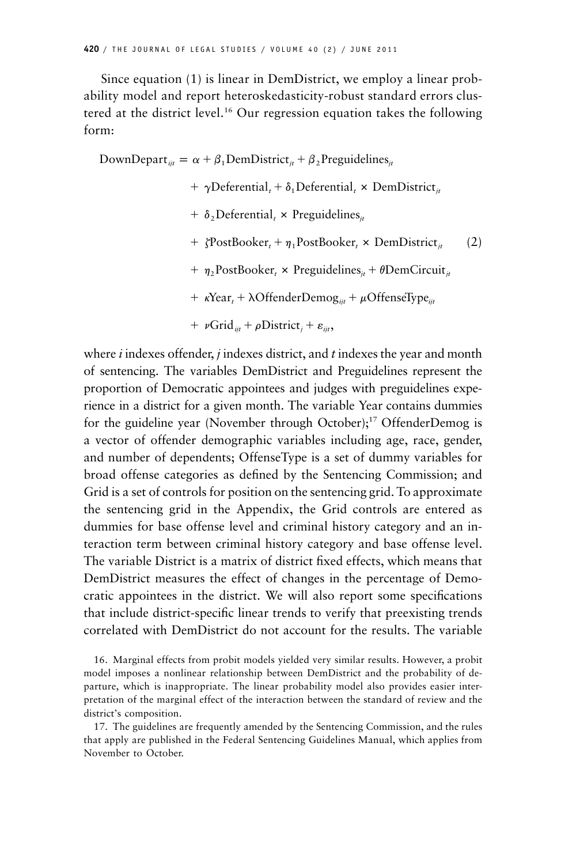Since equation (1) is linear in DemDistrict, we employ a linear probability model and report heteroskedasticity-robust standard errors clustered at the district level.16 Our regression equation takes the following form:

DownDepart<sub>iit</sub> =  $\alpha + \beta_1$ DemDistrict<sub>it</sub> +  $\beta_2$ Preguidelines<sub>it</sub> +  $\gamma$ Deferential, +  $\delta_1$ Deferential, × DemDistrict<sub>*it*</sub>  $+ \delta$ , Deferential,  $\times$  Preguidelines<sub>*it*</sub> +  $\zeta$ PostBooker<sub>t</sub> +  $\eta_1$ PostBooker<sub>t</sub> × DemDistrict<sub>it</sub> (2)  $+ \eta_2$ PostBooker,  $\times$  Preguidelines<sub>*it*</sub> +  $\theta$ DemCircuit<sub>*it*</sub> +  $\kappa$ Year<sub>t</sub> +  $\lambda$ OffenderDemog<sub>iit</sub> +  $\mu$ OffenseType<sub>iit</sub> +  $\nu$ Grid<sub>iit</sub> +  $\rho$ District<sub>i</sub> +  $\varepsilon$ <sub>iit</sub>,

where *i* indexes offender, *j* indexes district, and *t* indexes the year and month of sentencing. The variables DemDistrict and Preguidelines represent the proportion of Democratic appointees and judges with preguidelines experience in a district for a given month. The variable Year contains dummies for the guideline year (November through October);<sup>17</sup> OffenderDemog is a vector of offender demographic variables including age, race, gender, and number of dependents; OffenseType is a set of dummy variables for broad offense categories as defined by the Sentencing Commission; and Grid is a set of controls for position on the sentencing grid. To approximate the sentencing grid in the Appendix, the Grid controls are entered as dummies for base offense level and criminal history category and an interaction term between criminal history category and base offense level. The variable District is a matrix of district fixed effects, which means that DemDistrict measures the effect of changes in the percentage of Democratic appointees in the district. We will also report some specifications that include district-specific linear trends to verify that preexisting trends correlated with DemDistrict do not account for the results. The variable

16. Marginal effects from probit models yielded very similar results. However, a probit model imposes a nonlinear relationship between DemDistrict and the probability of departure, which is inappropriate. The linear probability model also provides easier interpretation of the marginal effect of the interaction between the standard of review and the district's composition.

17. The guidelines are frequently amended by the Sentencing Commission, and the rules that apply are published in the Federal Sentencing Guidelines Manual, which applies from November to October.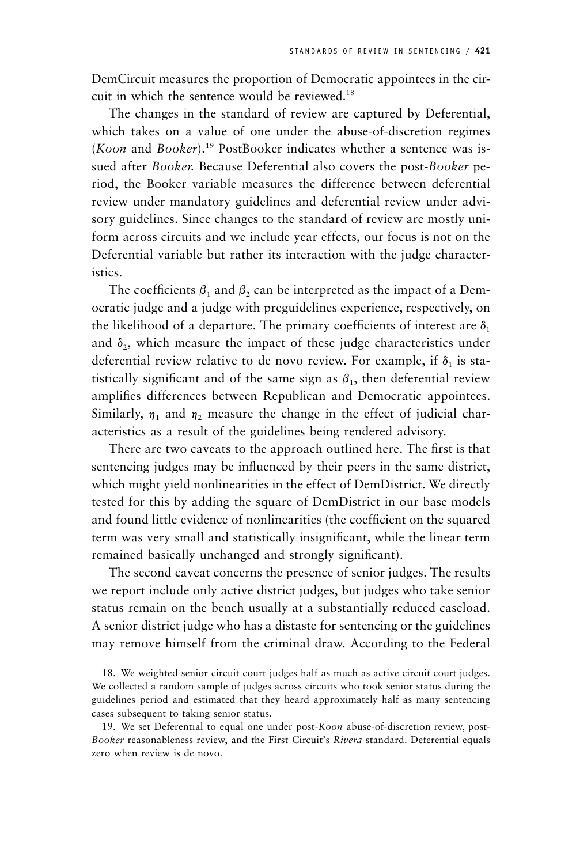DemCircuit measures the proportion of Democratic appointees in the circuit in which the sentence would be reviewed.18

The changes in the standard of review are captured by Deferential, which takes on a value of one under the abuse-of-discretion regimes (*Koon* and *Booker*).19 PostBooker indicates whether a sentence was issued after *Booker.* Because Deferential also covers the post-*Booker* period, the Booker variable measures the difference between deferential review under mandatory guidelines and deferential review under advisory guidelines. Since changes to the standard of review are mostly uniform across circuits and we include year effects, our focus is not on the Deferential variable but rather its interaction with the judge characteristics.

The coefficients  $\beta_1$  and  $\beta_2$  can be interpreted as the impact of a Democratic judge and a judge with preguidelines experience, respectively, on the likelihood of a departure. The primary coefficients of interest are  $\delta_1$ and  $\delta$ <sub>2</sub>, which measure the impact of these judge characteristics under deferential review relative to de novo review. For example, if  $\delta_1$  is statistically significant and of the same sign as  $\beta_1$ , then deferential review amplifies differences between Republican and Democratic appointees. Similarly,  $\eta_1$  and  $\eta_2$  measure the change in the effect of judicial characteristics as a result of the guidelines being rendered advisory.

There are two caveats to the approach outlined here. The first is that sentencing judges may be influenced by their peers in the same district, which might yield nonlinearities in the effect of DemDistrict. We directly tested for this by adding the square of DemDistrict in our base models and found little evidence of nonlinearities (the coefficient on the squared term was very small and statistically insignificant, while the linear term remained basically unchanged and strongly significant).

The second caveat concerns the presence of senior judges. The results we report include only active district judges, but judges who take senior status remain on the bench usually at a substantially reduced caseload. A senior district judge who has a distaste for sentencing or the guidelines may remove himself from the criminal draw. According to the Federal

18. We weighted senior circuit court judges half as much as active circuit court judges. We collected a random sample of judges across circuits who took senior status during the guidelines period and estimated that they heard approximately half as many sentencing cases subsequent to taking senior status.

19. We set Deferential to equal one under post-*Koon* abuse-of-discretion review, post-*Booker* reasonableness review, and the First Circuit's *Rivera* standard. Deferential equals zero when review is de novo.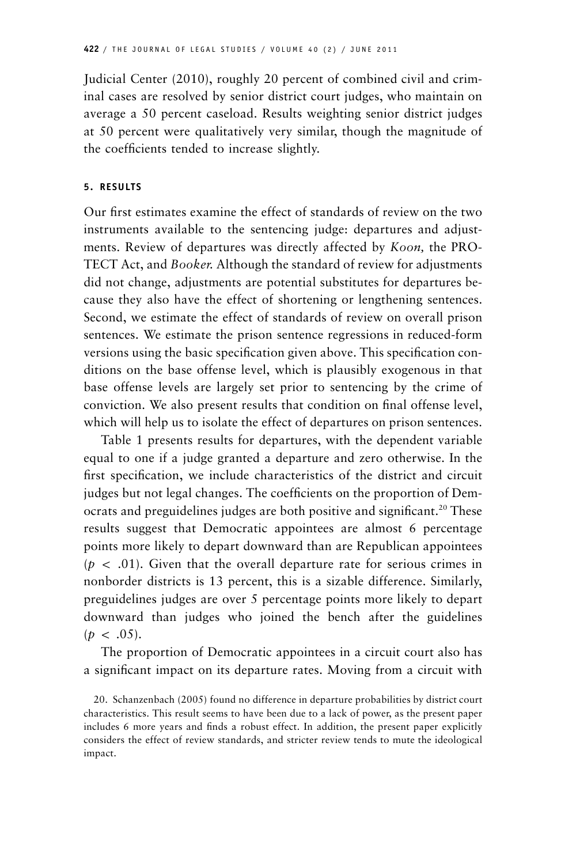Judicial Center (2010), roughly 20 percent of combined civil and criminal cases are resolved by senior district court judges, who maintain on average a 50 percent caseload. Results weighting senior district judges at 50 percent were qualitatively very similar, though the magnitude of the coefficients tended to increase slightly.

# **5. RESULTS**

Our first estimates examine the effect of standards of review on the two instruments available to the sentencing judge: departures and adjustments. Review of departures was directly affected by *Koon,* the PRO-TECT Act, and *Booker.* Although the standard of review for adjustments did not change, adjustments are potential substitutes for departures because they also have the effect of shortening or lengthening sentences. Second, we estimate the effect of standards of review on overall prison sentences. We estimate the prison sentence regressions in reduced-form versions using the basic specification given above. This specification conditions on the base offense level, which is plausibly exogenous in that base offense levels are largely set prior to sentencing by the crime of conviction. We also present results that condition on final offense level, which will help us to isolate the effect of departures on prison sentences.

Table 1 presents results for departures, with the dependent variable equal to one if a judge granted a departure and zero otherwise. In the first specification, we include characteristics of the district and circuit judges but not legal changes. The coefficients on the proportion of Democrats and preguidelines judges are both positive and significant.<sup>20</sup> These results suggest that Democratic appointees are almost 6 percentage points more likely to depart downward than are Republican appointees  $(p < .01)$ . Given that the overall departure rate for serious crimes in nonborder districts is 13 percent, this is a sizable difference. Similarly, preguidelines judges are over 5 percentage points more likely to depart downward than judges who joined the bench after the guidelines  $(p < .05)$ .

The proportion of Democratic appointees in a circuit court also has a significant impact on its departure rates. Moving from a circuit with

<sup>20.</sup> Schanzenbach (2005) found no difference in departure probabilities by district court characteristics. This result seems to have been due to a lack of power, as the present paper includes 6 more years and finds a robust effect. In addition, the present paper explicitly considers the effect of review standards, and stricter review tends to mute the ideological impact.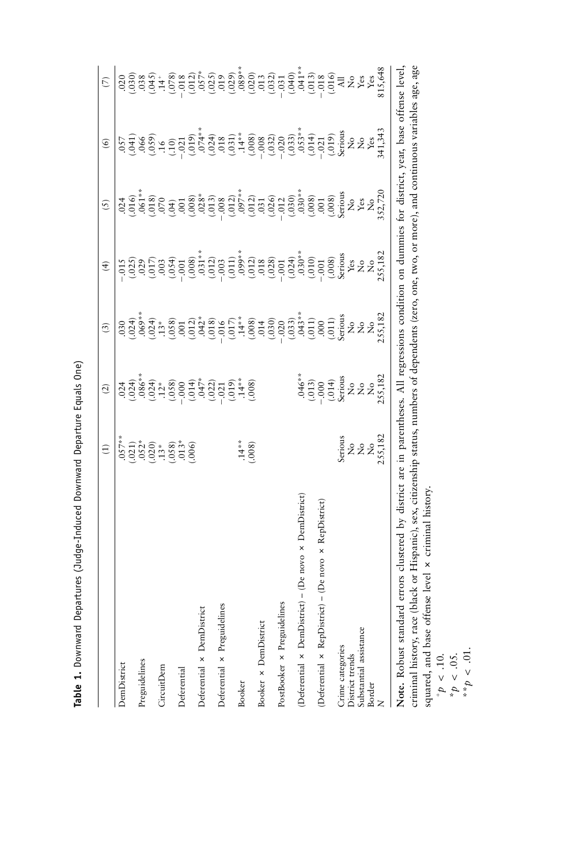Table 1. Downward Departures (Judge-Induced Downward Departure Equals One) **Table 1.** Downward Departures (Judge-Induced Downward Departure Equals One)

|                                                                                                                                                    | $\widehat{E}$                                                                                         | $\widehat{c}$                                                                                                                                                                                                                  | $\widehat{\mathcal{E}}$ | $\widehat{f}$                                                                                                                                                                                                                                                                                                                    | (5)                                                                                                                                                                                                                                                                                                                                                                                                                                                             | $\circledcirc$ | $\widehat{\mathbb{C}}$ |
|----------------------------------------------------------------------------------------------------------------------------------------------------|-------------------------------------------------------------------------------------------------------|--------------------------------------------------------------------------------------------------------------------------------------------------------------------------------------------------------------------------------|-------------------------|----------------------------------------------------------------------------------------------------------------------------------------------------------------------------------------------------------------------------------------------------------------------------------------------------------------------------------|-----------------------------------------------------------------------------------------------------------------------------------------------------------------------------------------------------------------------------------------------------------------------------------------------------------------------------------------------------------------------------------------------------------------------------------------------------------------|----------------|------------------------|
| DemDistrict                                                                                                                                        |                                                                                                       |                                                                                                                                                                                                                                |                         |                                                                                                                                                                                                                                                                                                                                  |                                                                                                                                                                                                                                                                                                                                                                                                                                                                 |                |                        |
| Preguidelines                                                                                                                                      |                                                                                                       | $324$ $328$ $328$ $329$ $329$ $329$ $329$ $329$ $329$ $329$ $329$ $329$ $329$ $329$ $329$ $329$ $329$ $329$ $329$ $329$ $329$ $329$ $329$ $329$ $329$ $329$ $329$ $329$ $329$ $329$ $329$ $329$ $329$ $329$ $329$ $329$ $3299$ |                         | $\begin{array}{l} 55 \\[-2.0ex] -10.0 \\[-2.0ex] -10.0 \\[-2.0ex] -10.0 \\[-2.0ex] -10.0 \\[-2.0ex] -10.0 \\[-2.0ex] -10.0 \\[-2.0ex] -10.0 \\[-2.0ex] -10.0 \\[-2.0ex] -10.0 \\[-2.0ex] -10.0 \\[-2.0ex] -10.0 \\[-2.0ex] -10.0 \\[-2.0ex] -10.0 \\[-2.0ex] -10.0 \\[-2.0ex] -10.0 \\[-2.0ex] -10.0 \\[-2.0ex] -10.0 \\[-2.0ex$ | $\begin{array}{l} \mathcal{A} = \mathcal{S} = \mathcal{S} = \mathcal{S} = \mathcal{S} = \mathcal{S} = \mathcal{S} = \mathcal{S} = \mathcal{S} = \mathcal{S} = \mathcal{S} = \mathcal{S} = \mathcal{S} = \mathcal{S} = \mathcal{S} = \mathcal{S} = \mathcal{S} = \mathcal{S} = \mathcal{S} = \mathcal{S} = \mathcal{S} = \mathcal{S} = \mathcal{S} = \mathcal{S} = \mathcal{S} = \mathcal{S} = \mathcal{S} = \mathcal{S} = \mathcal{S} = \mathcal{S} = \mathcal$ |                |                        |
| CircuitDem                                                                                                                                         |                                                                                                       |                                                                                                                                                                                                                                |                         |                                                                                                                                                                                                                                                                                                                                  |                                                                                                                                                                                                                                                                                                                                                                                                                                                                 |                |                        |
| Deferential                                                                                                                                        |                                                                                                       |                                                                                                                                                                                                                                |                         |                                                                                                                                                                                                                                                                                                                                  |                                                                                                                                                                                                                                                                                                                                                                                                                                                                 |                |                        |
|                                                                                                                                                    |                                                                                                       |                                                                                                                                                                                                                                |                         |                                                                                                                                                                                                                                                                                                                                  |                                                                                                                                                                                                                                                                                                                                                                                                                                                                 |                |                        |
| Deferential × DemDistrict                                                                                                                          |                                                                                                       |                                                                                                                                                                                                                                |                         |                                                                                                                                                                                                                                                                                                                                  |                                                                                                                                                                                                                                                                                                                                                                                                                                                                 |                |                        |
| Deferential x Preguidelines                                                                                                                        |                                                                                                       |                                                                                                                                                                                                                                |                         |                                                                                                                                                                                                                                                                                                                                  |                                                                                                                                                                                                                                                                                                                                                                                                                                                                 |                |                        |
| <b>Booker</b>                                                                                                                                      | $.14**$                                                                                               |                                                                                                                                                                                                                                |                         |                                                                                                                                                                                                                                                                                                                                  |                                                                                                                                                                                                                                                                                                                                                                                                                                                                 |                |                        |
|                                                                                                                                                    | (.008)                                                                                                | (.008)                                                                                                                                                                                                                         |                         |                                                                                                                                                                                                                                                                                                                                  |                                                                                                                                                                                                                                                                                                                                                                                                                                                                 |                |                        |
| Booker × DemDistrict                                                                                                                               |                                                                                                       |                                                                                                                                                                                                                                |                         |                                                                                                                                                                                                                                                                                                                                  |                                                                                                                                                                                                                                                                                                                                                                                                                                                                 |                |                        |
|                                                                                                                                                    |                                                                                                       |                                                                                                                                                                                                                                |                         |                                                                                                                                                                                                                                                                                                                                  |                                                                                                                                                                                                                                                                                                                                                                                                                                                                 |                |                        |
| PostBooker × Preguidelines                                                                                                                         |                                                                                                       |                                                                                                                                                                                                                                |                         |                                                                                                                                                                                                                                                                                                                                  |                                                                                                                                                                                                                                                                                                                                                                                                                                                                 |                |                        |
| (Deferential x DemDistrict) - (De novo x DemDistrict)                                                                                              |                                                                                                       |                                                                                                                                                                                                                                |                         |                                                                                                                                                                                                                                                                                                                                  |                                                                                                                                                                                                                                                                                                                                                                                                                                                                 |                |                        |
|                                                                                                                                                    |                                                                                                       |                                                                                                                                                                                                                                |                         |                                                                                                                                                                                                                                                                                                                                  |                                                                                                                                                                                                                                                                                                                                                                                                                                                                 |                |                        |
| (Deferential x RepDistrict) - (De novo x RepDistrict)                                                                                              |                                                                                                       | .046**<br>(.013)<br>(.014)<br>Serious<br>Serious<br>No<br>No<br>No<br>No<br>No                                                                                                                                                 |                         |                                                                                                                                                                                                                                                                                                                                  |                                                                                                                                                                                                                                                                                                                                                                                                                                                                 |                |                        |
| Crime categories                                                                                                                                   |                                                                                                       |                                                                                                                                                                                                                                |                         |                                                                                                                                                                                                                                                                                                                                  |                                                                                                                                                                                                                                                                                                                                                                                                                                                                 |                |                        |
| District trends                                                                                                                                    |                                                                                                       |                                                                                                                                                                                                                                |                         |                                                                                                                                                                                                                                                                                                                                  |                                                                                                                                                                                                                                                                                                                                                                                                                                                                 |                |                        |
| Substantial assistance                                                                                                                             | $\begin{array}{c} \rm Series \\ \rm No \\ \rm No \\ \rm No \\ \rm NS,182 \\ \rm 2.55,182 \end{array}$ |                                                                                                                                                                                                                                |                         |                                                                                                                                                                                                                                                                                                                                  |                                                                                                                                                                                                                                                                                                                                                                                                                                                                 |                |                        |
| Border                                                                                                                                             |                                                                                                       |                                                                                                                                                                                                                                |                         |                                                                                                                                                                                                                                                                                                                                  |                                                                                                                                                                                                                                                                                                                                                                                                                                                                 |                |                        |
|                                                                                                                                                    |                                                                                                       |                                                                                                                                                                                                                                | 255,182                 | 255,182                                                                                                                                                                                                                                                                                                                          | 52,720                                                                                                                                                                                                                                                                                                                                                                                                                                                          | 41,343         | 115,648                |
| Note. Robust standard errors clustered by district are in parentheses. All regressions condition on dummies for district, year, base offense level |                                                                                                       |                                                                                                                                                                                                                                |                         |                                                                                                                                                                                                                                                                                                                                  |                                                                                                                                                                                                                                                                                                                                                                                                                                                                 |                |                        |

criminal history, race (black or Hispanic), sex, citizenship status, numbers of dependents (zero, one, two, or more), and continuous variables age, age squared, and base offense level x criminal history.

 $p^*p < .10.$ <br>  $p^*p < .05.$ 

 $p^*p < .01$ .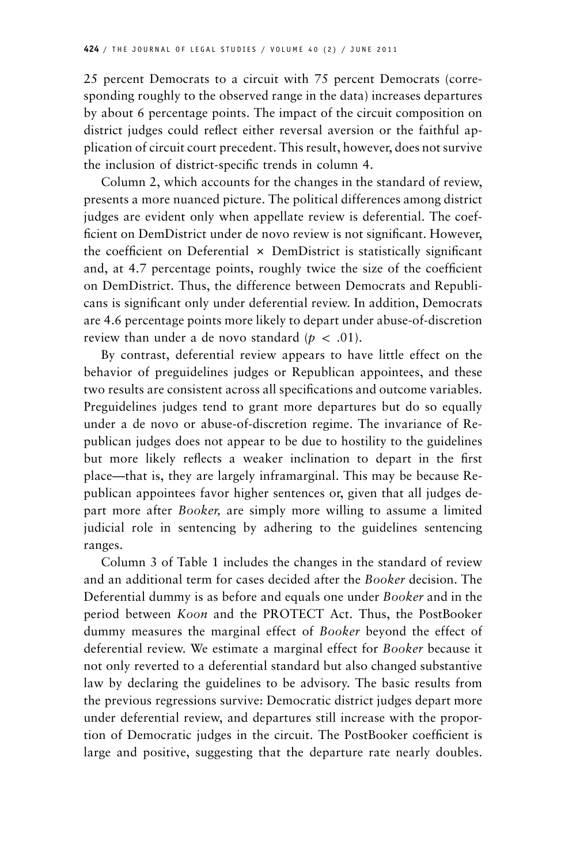25 percent Democrats to a circuit with 75 percent Democrats (corresponding roughly to the observed range in the data) increases departures by about 6 percentage points. The impact of the circuit composition on district judges could reflect either reversal aversion or the faithful application of circuit court precedent. This result, however, does not survive the inclusion of district-specific trends in column 4.

Column 2, which accounts for the changes in the standard of review, presents a more nuanced picture. The political differences among district judges are evident only when appellate review is deferential. The coefficient on DemDistrict under de novo review is not significant. However, the coefficient on Deferential  $\times$  DemDistrict is statistically significant and, at 4.7 percentage points, roughly twice the size of the coefficient on DemDistrict. Thus, the difference between Democrats and Republicans is significant only under deferential review. In addition, Democrats are 4.6 percentage points more likely to depart under abuse-of-discretion review than under a de novo standard ( $p < .01$ ).

By contrast, deferential review appears to have little effect on the behavior of preguidelines judges or Republican appointees, and these two results are consistent across all specifications and outcome variables. Preguidelines judges tend to grant more departures but do so equally under a de novo or abuse-of-discretion regime. The invariance of Republican judges does not appear to be due to hostility to the guidelines but more likely reflects a weaker inclination to depart in the first place—that is, they are largely inframarginal. This may be because Republican appointees favor higher sentences or, given that all judges depart more after *Booker,* are simply more willing to assume a limited judicial role in sentencing by adhering to the guidelines sentencing ranges.

Column 3 of Table 1 includes the changes in the standard of review and an additional term for cases decided after the *Booker* decision. The Deferential dummy is as before and equals one under *Booker* and in the period between *Koon* and the PROTECT Act. Thus, the PostBooker dummy measures the marginal effect of *Booker* beyond the effect of deferential review. We estimate a marginal effect for *Booker* because it not only reverted to a deferential standard but also changed substantive law by declaring the guidelines to be advisory. The basic results from the previous regressions survive: Democratic district judges depart more under deferential review, and departures still increase with the proportion of Democratic judges in the circuit. The PostBooker coefficient is large and positive, suggesting that the departure rate nearly doubles.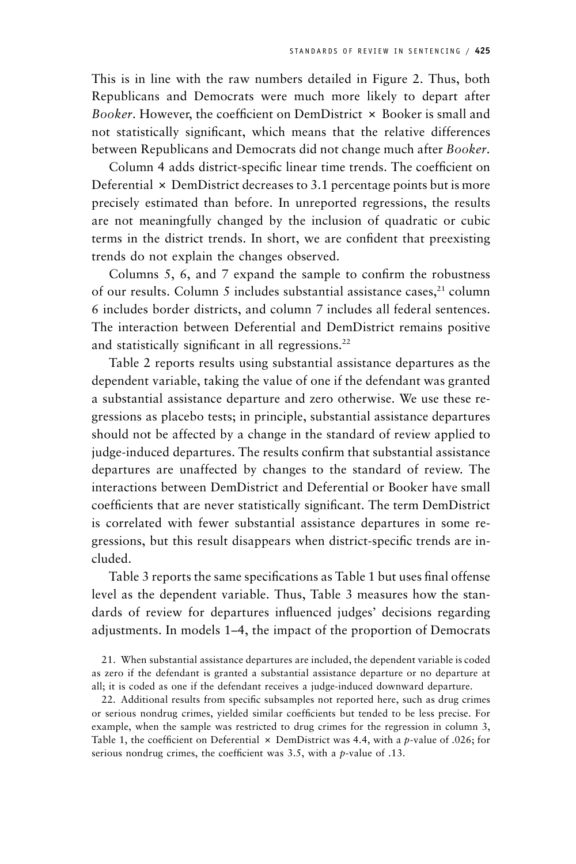This is in line with the raw numbers detailed in Figure 2. Thus, both Republicans and Democrats were much more likely to depart after *Booker*. However, the coefficient on DemDistrict  $\times$  Booker is small and not statistically significant, which means that the relative differences between Republicans and Democrats did not change much after *Booker*.

Column 4 adds district-specific linear time trends. The coefficient on Deferential  $\times$  DemDistrict decreases to 3.1 percentage points but is more precisely estimated than before. In unreported regressions, the results are not meaningfully changed by the inclusion of quadratic or cubic terms in the district trends. In short, we are confident that preexisting trends do not explain the changes observed.

Columns 5, 6, and 7 expand the sample to confirm the robustness of our results. Column 5 includes substantial assistance cases,<sup>21</sup> column 6 includes border districts, and column 7 includes all federal sentences. The interaction between Deferential and DemDistrict remains positive and statistically significant in all regressions.<sup>22</sup>

Table 2 reports results using substantial assistance departures as the dependent variable, taking the value of one if the defendant was granted a substantial assistance departure and zero otherwise. We use these regressions as placebo tests; in principle, substantial assistance departures should not be affected by a change in the standard of review applied to judge-induced departures. The results confirm that substantial assistance departures are unaffected by changes to the standard of review. The interactions between DemDistrict and Deferential or Booker have small coefficients that are never statistically significant. The term DemDistrict is correlated with fewer substantial assistance departures in some regressions, but this result disappears when district-specific trends are included.

Table 3 reports the same specifications as Table 1 but uses final offense level as the dependent variable. Thus, Table 3 measures how the standards of review for departures influenced judges' decisions regarding adjustments. In models 1–4, the impact of the proportion of Democrats

21. When substantial assistance departures are included, the dependent variable is coded as zero if the defendant is granted a substantial assistance departure or no departure at all; it is coded as one if the defendant receives a judge-induced downward departure.

22. Additional results from specific subsamples not reported here, such as drug crimes or serious nondrug crimes, yielded similar coefficients but tended to be less precise. For example, when the sample was restricted to drug crimes for the regression in column 3, Table 1, the coefficient on Deferential  $\times$  DemDistrict was 4.4, with a *p*-value of .026; for serious nondrug crimes, the coefficient was 3.5, with a *p*-value of .13.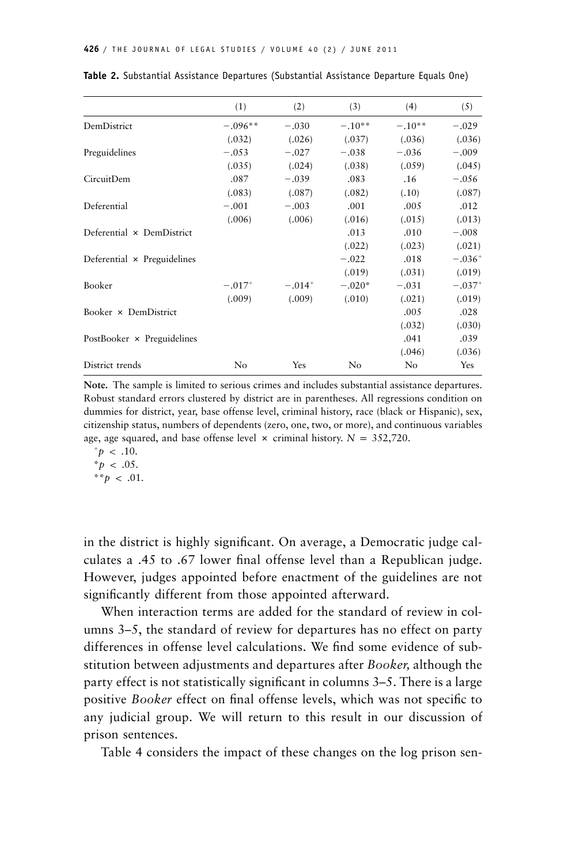|                                   | (1)                  | (2)      | (3)      | (4)            | (5)      |
|-----------------------------------|----------------------|----------|----------|----------------|----------|
|                                   |                      |          |          |                |          |
| DemDistrict                       | $-.096**$            | $-.030$  | $-.10**$ | $-.10**$       | $-.029$  |
|                                   | (.032)               | (.026)   | (.037)   | (.036)         | (.036)   |
| Preguidelines                     | $-.053$              | $-.027$  | $-.038$  | $-.036$        | $-.009$  |
|                                   | (.035)               | (.024)   | (.038)   | (.059)         | (.045)   |
| CircuitDem                        | .087                 | $-.039$  | .083     | .16            | $-.056$  |
|                                   | (.083)               | (.087)   | (.082)   | (.10)          | (.087)   |
| Deferential                       | $-.001$              | $-.003$  | .001     | .005           | .012     |
|                                   | (.006)               | (.006)   | (.016)   | (.015)         | (.013)   |
| Deferential × DemDistrict         |                      |          | .013     | .010           | $-.008$  |
|                                   |                      |          | (.022)   | (.023)         | (.021)   |
| Deferential × Preguidelines       |                      |          | $-.022$  | .018           | $-.036+$ |
|                                   |                      |          | (.019)   | (.031)         | (.019)   |
| Booker                            | $-.017$ <sup>+</sup> | $-.014+$ | $-.020*$ | $-.031$        | $-.037+$ |
|                                   | (.009)               | (.009)   | (.010)   | (.021)         | (.019)   |
| Booker × DemDistrict              |                      |          |          | .005           | .028     |
|                                   |                      |          |          | (.032)         | (.030)   |
| PostBooker $\times$ Preguidelines |                      |          |          | .041           | .039     |
|                                   |                      |          |          | (.046)         | (.036)   |
| District trends                   | No                   | Yes      | No       | N <sub>0</sub> | Yes      |

**Table 2.** Substantial Assistance Departures (Substantial Assistance Departure Equals One)

**Note.** The sample is limited to serious crimes and includes substantial assistance departures. Robust standard errors clustered by district are in parentheses. All regressions condition on dummies for district, year, base offense level, criminal history, race (black or Hispanic), sex, citizenship status, numbers of dependents (zero, one, two, or more), and continuous variables age, age squared, and base offense level  $\times$  criminal history.  $N = 352,720$ .

 $p^+$   $> 10$ .  $* p \, < \, .05.$ \*\* $p$  < .01.

in the district is highly significant. On average, a Democratic judge calculates a .45 to .67 lower final offense level than a Republican judge. However, judges appointed before enactment of the guidelines are not significantly different from those appointed afterward.

When interaction terms are added for the standard of review in columns 3–5, the standard of review for departures has no effect on party differences in offense level calculations. We find some evidence of substitution between adjustments and departures after *Booker,* although the party effect is not statistically significant in columns 3–5. There is a large positive *Booker* effect on final offense levels, which was not specific to any judicial group. We will return to this result in our discussion of prison sentences.

Table 4 considers the impact of these changes on the log prison sen-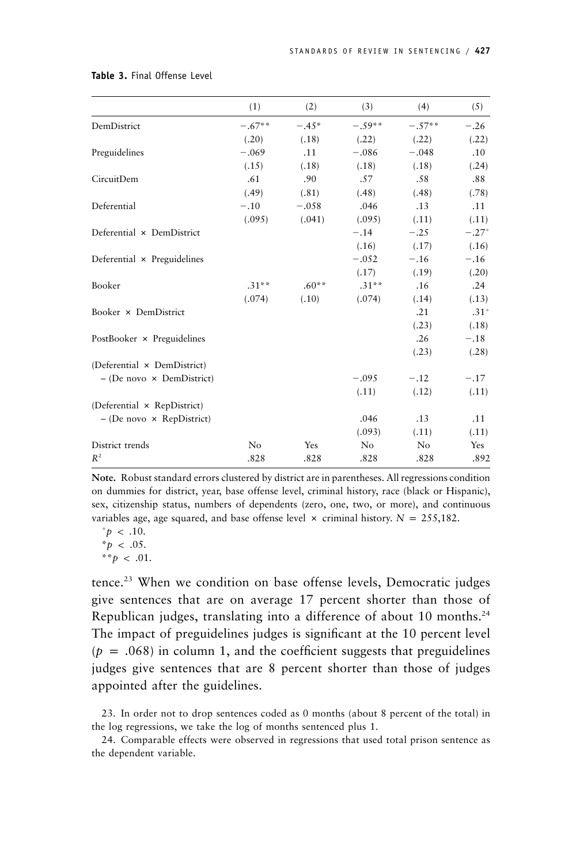|                                    | (1)      | (2)     | (3)      | (4)      | (5)       |
|------------------------------------|----------|---------|----------|----------|-----------|
| DemDistrict                        | $-.67**$ | $-.45*$ | $-.59**$ | $-.57**$ | $-.26$    |
|                                    | (.20)    | (.18)   | (.22)    | (.22)    | (.22)     |
| Preguidelines                      | $-.069$  | .11     | $-.086$  | $-.048$  | .10       |
|                                    | (.15)    | (.18)   | (.18)    | (.18)    | (.24)     |
| CircuitDem                         | .61      | .90     | .57      | .58      | .88       |
|                                    | (.49)    | (.81)   | (.48)    | (.48)    | (.78)     |
| Deferential                        | $-.10$   | $-.058$ | .046     | .13      | .11       |
|                                    | (.095)   | (.041)  | (.095)   | (.11)    | (.11)     |
| Deferential × DemDistrict          |          |         | $-.14$   | $-.25$   | $-.27+$   |
|                                    |          |         | (.16)    | (.17)    | (.16)     |
| Deferential $\times$ Preguidelines |          |         | $-.052$  | $-.16$   | $-.16$    |
|                                    |          |         | (.17)    | (.19)    | (.20)     |
| Booker                             | $.31***$ | $.60**$ | $.31***$ | .16      | .24       |
|                                    | (.074)   | (.10)   | (.074)   | (.14)    | (.13)     |
| Booker × DemDistrict               |          |         |          | .21      | $.31^{+}$ |
|                                    |          |         |          | (.23)    | (.18)     |
| PostBooker × Preguidelines         |          |         |          | .26      | $-.18$    |
|                                    |          |         |          | (.23)    | (.28)     |
| (Deferential × DemDistrict)        |          |         |          |          |           |
| $-$ (De novo $\times$ DemDistrict) |          |         | $-.095$  | $-.12$   | $-.17$    |
|                                    |          |         | (.11)    | (.12)    | (.11)     |
| (Deferential × RepDistrict)        |          |         |          |          |           |
| $-$ (De novo $\times$ RepDistrict) |          |         | .046     | .13      | .11       |
|                                    |          |         | (.093)   | (.11)    | (.11)     |
| District trends                    | No       | Yes     | No       | No       | Yes       |
| $R^2$                              | .828     | .828    | .828     | .828     | .892      |

#### **Table 3.** Final Offense Level

**Note.** Robust standard errors clustered by district are in parentheses. All regressions condition on dummies for district, year, base offense level, criminal history, race (black or Hispanic), sex, citizenship status, numbers of dependents (zero, one, two, or more), and continuous variables age, age squared, and base offense level  $\times$  criminal history.  $N = 255,182$ .

 $p \sim .10$ .  $*_{p}$  < .05.  $* * p < .01$ .

tence.23 When we condition on base offense levels, Democratic judges give sentences that are on average 17 percent shorter than those of Republican judges, translating into a difference of about 10 months.<sup>24</sup> The impact of preguidelines judges is significant at the 10 percent level  $(p = .068)$  in column 1, and the coefficient suggests that preguidelines judges give sentences that are 8 percent shorter than those of judges appointed after the guidelines.

24. Comparable effects were observed in regressions that used total prison sentence as the dependent variable.

<sup>23.</sup> In order not to drop sentences coded as 0 months (about 8 percent of the total) in the log regressions, we take the log of months sentenced plus 1.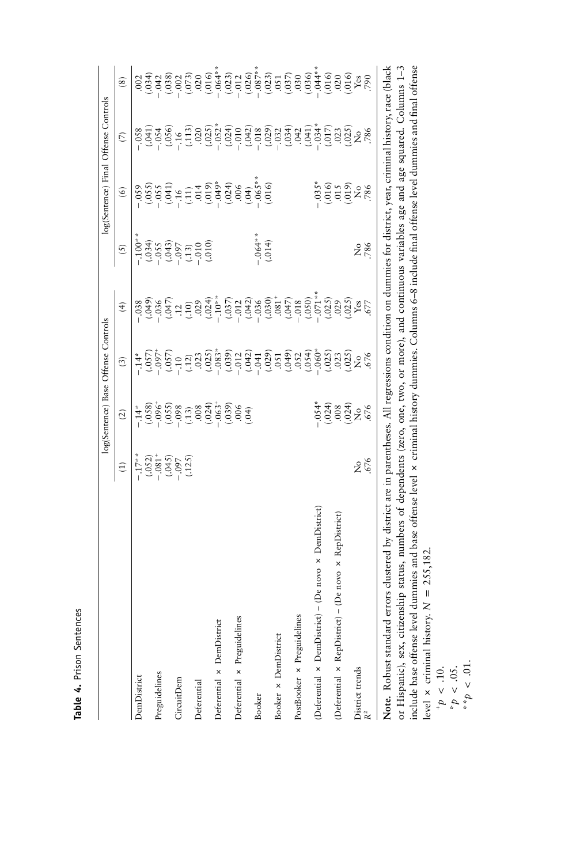Table 4. Prison Sentences **Table 4.** Prison Sentences

|                                                                                                                                                               |                                  |                        | log(Sentence) Base Offense Controls                                                                                                                                                                                                                                                                                                |                                                                                                                                                                                                                                                                                                      |                                                                                                                                                                                                                                                                                                                                                                                      |                                                                                                                                                                      | log(Sentence) Final Offense Controls                                                                                                                                                                                                                 |                                                                                                                                                 |
|---------------------------------------------------------------------------------------------------------------------------------------------------------------|----------------------------------|------------------------|------------------------------------------------------------------------------------------------------------------------------------------------------------------------------------------------------------------------------------------------------------------------------------------------------------------------------------|------------------------------------------------------------------------------------------------------------------------------------------------------------------------------------------------------------------------------------------------------------------------------------------------------|--------------------------------------------------------------------------------------------------------------------------------------------------------------------------------------------------------------------------------------------------------------------------------------------------------------------------------------------------------------------------------------|----------------------------------------------------------------------------------------------------------------------------------------------------------------------|------------------------------------------------------------------------------------------------------------------------------------------------------------------------------------------------------------------------------------------------------|-------------------------------------------------------------------------------------------------------------------------------------------------|
|                                                                                                                                                               | $\widehat{E}$                    | $\widehat{c}$          | $\binom{3}{2}$                                                                                                                                                                                                                                                                                                                     | $\widehat{f}$                                                                                                                                                                                                                                                                                        | (5)                                                                                                                                                                                                                                                                                                                                                                                  | $\circledcirc$                                                                                                                                                       | $\widehat{\triangleright}$                                                                                                                                                                                                                           | $\circled{s}$                                                                                                                                   |
| DemDistrict                                                                                                                                                   | $-0.17**$                        | $-14*$                 | $-14*$                                                                                                                                                                                                                                                                                                                             | .038                                                                                                                                                                                                                                                                                                 | $-100$ *                                                                                                                                                                                                                                                                                                                                                                             | .059                                                                                                                                                                 | .058                                                                                                                                                                                                                                                 | .002                                                                                                                                            |
|                                                                                                                                                               | $(.052)$<br>$-.081$ <sup>+</sup> | $(-0.58)$              | $(500 -$                                                                                                                                                                                                                                                                                                                           | (0.049)                                                                                                                                                                                                                                                                                              |                                                                                                                                                                                                                                                                                                                                                                                      |                                                                                                                                                                      | 160.1                                                                                                                                                                                                                                                |                                                                                                                                                 |
| Preguidelines                                                                                                                                                 |                                  |                        |                                                                                                                                                                                                                                                                                                                                    |                                                                                                                                                                                                                                                                                                      |                                                                                                                                                                                                                                                                                                                                                                                      |                                                                                                                                                                      |                                                                                                                                                                                                                                                      |                                                                                                                                                 |
|                                                                                                                                                               | (0.045)                          | (.055)                 |                                                                                                                                                                                                                                                                                                                                    |                                                                                                                                                                                                                                                                                                      |                                                                                                                                                                                                                                                                                                                                                                                      |                                                                                                                                                                      | (0.056)                                                                                                                                                                                                                                              | $\begin{array}{c}\n\widehat{\pi}_{1} & \widehat{\pi}_{2} \\ \widehat{\sigma}_{1} & \widehat{\sigma}_{2} \\ \vdots & \vdots\n\end{array}$        |
| CircuitDem                                                                                                                                                    |                                  |                        | (0.57)                                                                                                                                                                                                                                                                                                                             |                                                                                                                                                                                                                                                                                                      |                                                                                                                                                                                                                                                                                                                                                                                      |                                                                                                                                                                      |                                                                                                                                                                                                                                                      |                                                                                                                                                 |
|                                                                                                                                                               | (.125)                           | $(13)$<br>$008$        | $(12)$<br>$023$                                                                                                                                                                                                                                                                                                                    | $\frac{3}{2}$ $\frac{3}{2}$ $\frac{3}{2}$                                                                                                                                                                                                                                                            | $\begin{array}{c} (1034) \\ (-035) \\ (-043) \\ (-043) \\ (-035) \\ (-030) \\ (-030) \\ (-030) \\ (-030) \\ (-030) \\ (-030) \\ (-030) \\ (-030) \\ (-030) \\ (-030) \\ (-030) \\ (-030) \\ (-030) \\ (-030) \\ (-030) \\ (-030) \\ (-030) \\ (-030) \\ (-030) \\ (-030) \\ (-030) \\ (-030) \\ (-030) \\ (-030) \\ (-030) \\ (-030) \\ (-030) \\ (-030) \\ (-030) \\ (-030) \\ (-0$ | $(0.55)$<br>$(-1.53)$<br>$(-1.53)$<br>$(-1.53)$<br>$(-1.53)$<br>$(-1.53)$<br>$(-1.53)$<br>$(-1.53)$<br>$(-1.53)$<br>$(-1.53)$<br>$(-1.53)$<br>$(-1.53)$<br>$(-1.53)$ | $(113)$<br>$.020$                                                                                                                                                                                                                                    | $(073)$<br>$(016)$<br>$(016)$<br>$(016)$<br>$(016)$                                                                                             |
| Deferential                                                                                                                                                   |                                  |                        |                                                                                                                                                                                                                                                                                                                                    |                                                                                                                                                                                                                                                                                                      |                                                                                                                                                                                                                                                                                                                                                                                      |                                                                                                                                                                      |                                                                                                                                                                                                                                                      |                                                                                                                                                 |
|                                                                                                                                                               |                                  | $(.024)$<br>$-.063+$   | $(.025)$<br>$-.083*$                                                                                                                                                                                                                                                                                                               | $(.024)$<br>-.10**                                                                                                                                                                                                                                                                                   | (.010)                                                                                                                                                                                                                                                                                                                                                                               |                                                                                                                                                                      | $\begin{array}{l} 5,3,4,4,5,6,7,8,8,9,0\\ 0,5,6,7,6,7,8,8,9,0\\ -1,5,6,7,6,7,6,7,7,8,7,7,7,8,7,7,7\\ -1,5,6,7,6,7,7,7,7,7,7,7,7,7\\ -1,5,6,7,6,7,7,7,7,7,7,7,7,7\\ -1,5,6,7,7,7,7,7,7,7,7,7,7\\ -1,5,6,7,7,7,7,7,7,7,7,7,7\\ -1,5,6,7,7,7,7,7,7,7,7$ |                                                                                                                                                 |
| Deferential x DemDistrict                                                                                                                                     |                                  |                        |                                                                                                                                                                                                                                                                                                                                    |                                                                                                                                                                                                                                                                                                      |                                                                                                                                                                                                                                                                                                                                                                                      |                                                                                                                                                                      |                                                                                                                                                                                                                                                      |                                                                                                                                                 |
|                                                                                                                                                               |                                  |                        |                                                                                                                                                                                                                                                                                                                                    |                                                                                                                                                                                                                                                                                                      |                                                                                                                                                                                                                                                                                                                                                                                      |                                                                                                                                                                      |                                                                                                                                                                                                                                                      |                                                                                                                                                 |
| Deferential x Preguidelines                                                                                                                                   |                                  | $(0.039)$<br>$(0.04)$  |                                                                                                                                                                                                                                                                                                                                    |                                                                                                                                                                                                                                                                                                      |                                                                                                                                                                                                                                                                                                                                                                                      |                                                                                                                                                                      |                                                                                                                                                                                                                                                      |                                                                                                                                                 |
|                                                                                                                                                               |                                  |                        | $\begin{array}{l} (0.39)\\ (-0.12)\\ (-0.041)\\ (-0.05)\\ (-0.05)\\ (-0.05)\\ (-0.05)\\ (-0.05)\\ (-0.05)\\ (-0.05)\\ (-0.05)\\ (-0.05)\\ (-0.05)\\ (-0.05)\\ (-0.05)\\ (-0.05)\\ (-0.05)\\ (-0.05)\\ (-0.05)\\ (-0.05)\\ (-0.05)\\ (-0.05)\\ (-0.05)\\ (-0.05)\\ (-0.05)\\ (-0.05)\\ (-0.05)\\ (-0.05)\\ (-0.05)\\ (-0.05)\\ (-0$ | $\begin{array}{c} (037)\\ (124)\\ (142)\\ (1030)\\ (1030)\\ (1030)\\ (1030)\\ (1030)\\ (1030)\\ (1030)\\ (1030)\\ (1030)\\ (1030)\\ (1030)\\ (1030)\\ (1030)\\ (1030)\\ (1030)\\ (1030)\\ (1030)\\ (1030)\\ (1030)\\ (1030)\\ (1030)\\ (1030)\\ (1030)\\ (1030)\\ (1030)\\ (1030)\\ (1030)\\ (1030)$ |                                                                                                                                                                                                                                                                                                                                                                                      |                                                                                                                                                                      |                                                                                                                                                                                                                                                      |                                                                                                                                                 |
| Booker                                                                                                                                                        |                                  |                        |                                                                                                                                                                                                                                                                                                                                    |                                                                                                                                                                                                                                                                                                      | $-.064**$                                                                                                                                                                                                                                                                                                                                                                            |                                                                                                                                                                      |                                                                                                                                                                                                                                                      |                                                                                                                                                 |
|                                                                                                                                                               |                                  |                        |                                                                                                                                                                                                                                                                                                                                    |                                                                                                                                                                                                                                                                                                      | (.014)                                                                                                                                                                                                                                                                                                                                                                               |                                                                                                                                                                      |                                                                                                                                                                                                                                                      |                                                                                                                                                 |
| Booker × DemDistrict                                                                                                                                          |                                  |                        |                                                                                                                                                                                                                                                                                                                                    |                                                                                                                                                                                                                                                                                                      |                                                                                                                                                                                                                                                                                                                                                                                      |                                                                                                                                                                      |                                                                                                                                                                                                                                                      |                                                                                                                                                 |
|                                                                                                                                                               |                                  |                        |                                                                                                                                                                                                                                                                                                                                    |                                                                                                                                                                                                                                                                                                      |                                                                                                                                                                                                                                                                                                                                                                                      |                                                                                                                                                                      |                                                                                                                                                                                                                                                      |                                                                                                                                                 |
| PostBooker × Preguidelines                                                                                                                                    |                                  |                        |                                                                                                                                                                                                                                                                                                                                    |                                                                                                                                                                                                                                                                                                      |                                                                                                                                                                                                                                                                                                                                                                                      |                                                                                                                                                                      |                                                                                                                                                                                                                                                      |                                                                                                                                                 |
|                                                                                                                                                               |                                  |                        |                                                                                                                                                                                                                                                                                                                                    | $(.050)$<br>$-.071**$                                                                                                                                                                                                                                                                                |                                                                                                                                                                                                                                                                                                                                                                                      |                                                                                                                                                                      |                                                                                                                                                                                                                                                      |                                                                                                                                                 |
| (Deferential x DemDistrict) - (De novo x DemDistrict)                                                                                                         |                                  | $-54*$                 |                                                                                                                                                                                                                                                                                                                                    |                                                                                                                                                                                                                                                                                                      |                                                                                                                                                                                                                                                                                                                                                                                      | $0.035*$                                                                                                                                                             |                                                                                                                                                                                                                                                      |                                                                                                                                                 |
|                                                                                                                                                               |                                  | $(.024)$<br>$.008$     | $(025)$<br>$023$                                                                                                                                                                                                                                                                                                                   | (.025)                                                                                                                                                                                                                                                                                               |                                                                                                                                                                                                                                                                                                                                                                                      |                                                                                                                                                                      |                                                                                                                                                                                                                                                      |                                                                                                                                                 |
| (Deferential × RepDistrict) – (De novo × RepDistrict)                                                                                                         |                                  |                        |                                                                                                                                                                                                                                                                                                                                    | 029                                                                                                                                                                                                                                                                                                  |                                                                                                                                                                                                                                                                                                                                                                                      |                                                                                                                                                                      |                                                                                                                                                                                                                                                      |                                                                                                                                                 |
|                                                                                                                                                               |                                  | $(024)$<br>No<br>$676$ | $(025)$<br>No<br>$576$                                                                                                                                                                                                                                                                                                             | $\begin{array}{c} (025) \\ \text{Yes} \\ 677 \end{array}$                                                                                                                                                                                                                                            |                                                                                                                                                                                                                                                                                                                                                                                      | $(6, 6, 6)$<br>$(6, 6, 6)$<br>$(6, 6, 6)$                                                                                                                            | 017)<br>023<br>28, 286                                                                                                                                                                                                                               | $(0.23)\n(0.26)\n(0.27)\n(0.2872),\n(0.2972),\n(0.2972),\n(0.2972),\n(0.2972),\n(0.2972),\n(0.2972),\n(0.2972),\n(0.2972),\n(0.2972),\n(0.2972$ |
| District trends                                                                                                                                               | å<br>S                           |                        |                                                                                                                                                                                                                                                                                                                                    |                                                                                                                                                                                                                                                                                                      | 2 %                                                                                                                                                                                                                                                                                                                                                                                  |                                                                                                                                                                      |                                                                                                                                                                                                                                                      |                                                                                                                                                 |
|                                                                                                                                                               | .676                             |                        |                                                                                                                                                                                                                                                                                                                                    |                                                                                                                                                                                                                                                                                                      |                                                                                                                                                                                                                                                                                                                                                                                      |                                                                                                                                                                      |                                                                                                                                                                                                                                                      | 790                                                                                                                                             |
| Note. Robust standard errors clustered by district are in parentheses. All regressions condition on dummies for district, year, criminal history, race (black |                                  |                        |                                                                                                                                                                                                                                                                                                                                    |                                                                                                                                                                                                                                                                                                      |                                                                                                                                                                                                                                                                                                                                                                                      |                                                                                                                                                                      |                                                                                                                                                                                                                                                      |                                                                                                                                                 |

or Hispanic), sex, citizenship status, numbers of dependents (zero, one, two, or more), and continuous variables age and age squared. Columns 1-3 or Hispanic), sex, citizenship status, numbers of dependents (zero, one, two, or more), and continuous variables age and age squared. Columns 1–3 include base offense level dummies and base offense level # criminal history dummies. Columns 6–8 include final offense level dummies and final offense level  $\times$  criminal history.  $N = 255,182$ .

 $\frac{p}{p}$  < .10.<br> *p* < .05.

 $*^{*}p \leq .01.$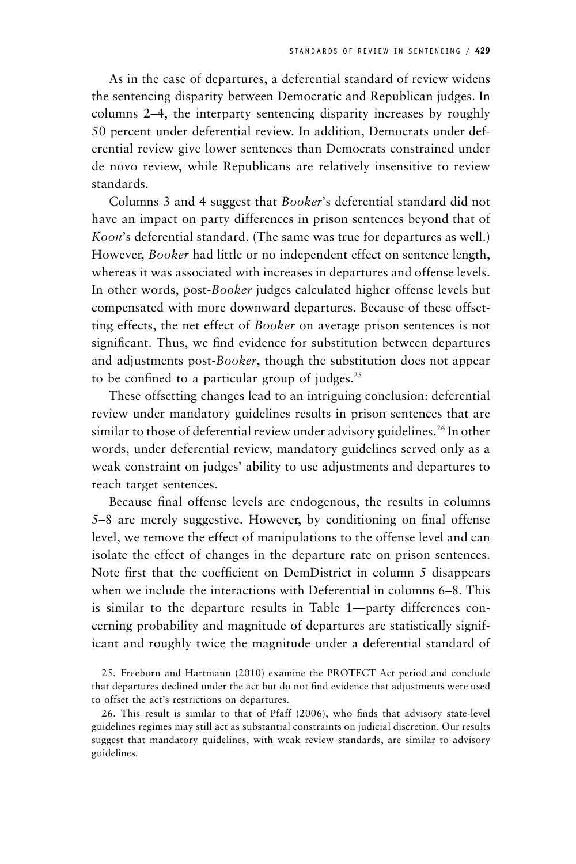As in the case of departures, a deferential standard of review widens the sentencing disparity between Democratic and Republican judges. In columns 2–4, the interparty sentencing disparity increases by roughly 50 percent under deferential review. In addition, Democrats under deferential review give lower sentences than Democrats constrained under de novo review, while Republicans are relatively insensitive to review standards.

Columns 3 and 4 suggest that *Booker*'s deferential standard did not have an impact on party differences in prison sentences beyond that of *Koon*'s deferential standard. (The same was true for departures as well.) However, *Booker* had little or no independent effect on sentence length, whereas it was associated with increases in departures and offense levels. In other words, post-*Booker* judges calculated higher offense levels but compensated with more downward departures. Because of these offsetting effects, the net effect of *Booker* on average prison sentences is not significant. Thus, we find evidence for substitution between departures and adjustments post-*Booker*, though the substitution does not appear to be confined to a particular group of judges. $25$ 

These offsetting changes lead to an intriguing conclusion: deferential review under mandatory guidelines results in prison sentences that are similar to those of deferential review under advisory guidelines.<sup>26</sup> In other words, under deferential review, mandatory guidelines served only as a weak constraint on judges' ability to use adjustments and departures to reach target sentences.

Because final offense levels are endogenous, the results in columns 5–8 are merely suggestive. However, by conditioning on final offense level, we remove the effect of manipulations to the offense level and can isolate the effect of changes in the departure rate on prison sentences. Note first that the coefficient on DemDistrict in column 5 disappears when we include the interactions with Deferential in columns 6–8. This is similar to the departure results in Table 1—party differences concerning probability and magnitude of departures are statistically significant and roughly twice the magnitude under a deferential standard of

25. Freeborn and Hartmann (2010) examine the PROTECT Act period and conclude that departures declined under the act but do not find evidence that adjustments were used to offset the act's restrictions on departures.

26. This result is similar to that of Pfaff (2006), who finds that advisory state-level guidelines regimes may still act as substantial constraints on judicial discretion. Our results suggest that mandatory guidelines, with weak review standards, are similar to advisory guidelines.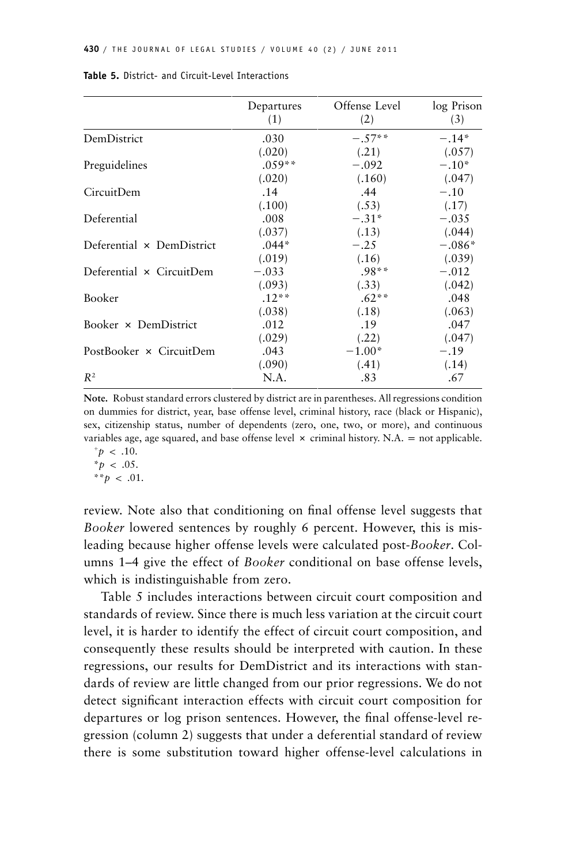|                           | Departures<br>(1) | Offense Level<br>(2) | log Prison<br>(3) |
|---------------------------|-------------------|----------------------|-------------------|
| DemDistrict               | .030              | $-.57**$             | $-.14*$           |
|                           | (.020)            | (.21)                | (.057)            |
| Preguidelines             | $.059**$          | $-.092$              | $-.10*$           |
|                           | (.020)            | (.160)               | (.047)            |
| CircuitDem                | .14               | .44                  | $-.10$            |
|                           | (.100)            | (.53)                | (.17)             |
| Deferential               | .008              | $-.31*$              | $-.035$           |
|                           | (.037)            | (.13)                | (.044)            |
| Deferential × DemDistrict | $.044*$           | $-.25$               | $-.086*$          |
|                           | (.019)            | (.16)                | (.039)            |
| Deferential × CircuitDem  | $-.033$           | $.98**$              | $-.012$           |
|                           | (.093)            | (.33)                | (.042)            |
| Booker                    | $.12**$           | $.62**$              | .048              |
|                           | (.038)            | (.18)                | (.063)            |
| Booker × DemDistrict      | .012              | .19                  | .047              |
|                           | (.029)            | (.22)                | (.047)            |
| PostBooker × CircuitDem   | .043              | $-1.00*$             | $-.19$            |
|                           | (.090)            | (.41)                | (.14)             |
| $R^2$                     | N.A.              | .83                  | .67               |

| Table 5. District- and Circuit-Level Interactions |  |  |  |  |  |  |
|---------------------------------------------------|--|--|--|--|--|--|
|---------------------------------------------------|--|--|--|--|--|--|

**Note.** Robust standard errors clustered by district are in parentheses. All regressions condition on dummies for district, year, base offense level, criminal history, race (black or Hispanic), sex, citizenship status, number of dependents (zero, one, two, or more), and continuous variables age, age squared, and base offense level  $\times$  criminal history. N.A. = not applicable.

 $p \sim .10$ .  $*_{p}$  < .05.

\*\* $p$  < .01.

review. Note also that conditioning on final offense level suggests that *Booker* lowered sentences by roughly 6 percent. However, this is misleading because higher offense levels were calculated post-*Booker*. Columns 1–4 give the effect of *Booker* conditional on base offense levels, which is indistinguishable from zero.

Table 5 includes interactions between circuit court composition and standards of review. Since there is much less variation at the circuit court level, it is harder to identify the effect of circuit court composition, and consequently these results should be interpreted with caution. In these regressions, our results for DemDistrict and its interactions with standards of review are little changed from our prior regressions. We do not detect significant interaction effects with circuit court composition for departures or log prison sentences. However, the final offense-level regression (column 2) suggests that under a deferential standard of review there is some substitution toward higher offense-level calculations in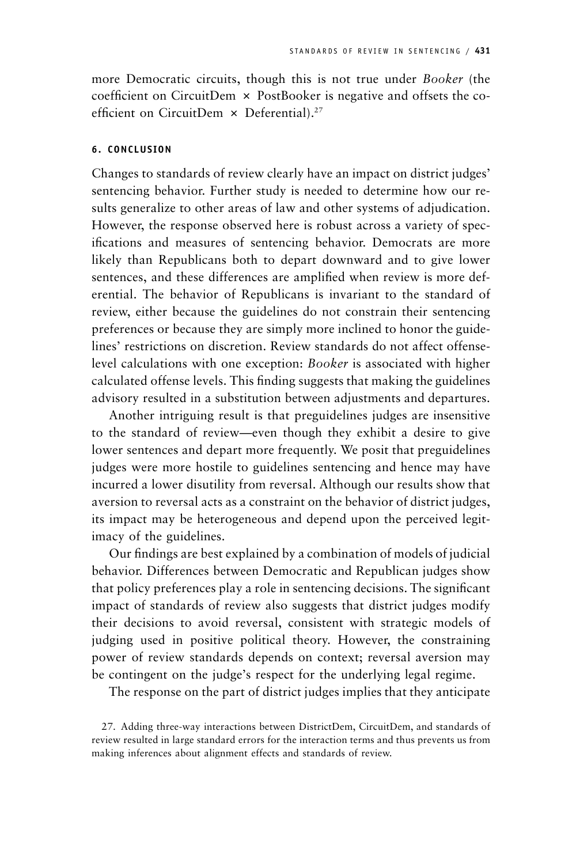more Democratic circuits, though this is not true under *Booker* (the coefficient on CircuitDem  $\times$  PostBooker is negative and offsets the coefficient on CircuitDem  $\times$  Deferential).<sup>27</sup>

## **6. CONCLUSION**

Changes to standards of review clearly have an impact on district judges' sentencing behavior. Further study is needed to determine how our results generalize to other areas of law and other systems of adjudication. However, the response observed here is robust across a variety of specifications and measures of sentencing behavior. Democrats are more likely than Republicans both to depart downward and to give lower sentences, and these differences are amplified when review is more deferential. The behavior of Republicans is invariant to the standard of review, either because the guidelines do not constrain their sentencing preferences or because they are simply more inclined to honor the guidelines' restrictions on discretion. Review standards do not affect offenselevel calculations with one exception: *Booker* is associated with higher calculated offense levels. This finding suggests that making the guidelines advisory resulted in a substitution between adjustments and departures.

Another intriguing result is that preguidelines judges are insensitive to the standard of review—even though they exhibit a desire to give lower sentences and depart more frequently. We posit that preguidelines judges were more hostile to guidelines sentencing and hence may have incurred a lower disutility from reversal. Although our results show that aversion to reversal acts as a constraint on the behavior of district judges, its impact may be heterogeneous and depend upon the perceived legitimacy of the guidelines.

Our findings are best explained by a combination of models of judicial behavior. Differences between Democratic and Republican judges show that policy preferences play a role in sentencing decisions. The significant impact of standards of review also suggests that district judges modify their decisions to avoid reversal, consistent with strategic models of judging used in positive political theory. However, the constraining power of review standards depends on context; reversal aversion may be contingent on the judge's respect for the underlying legal regime.

The response on the part of district judges implies that they anticipate

<sup>27.</sup> Adding three-way interactions between DistrictDem, CircuitDem, and standards of review resulted in large standard errors for the interaction terms and thus prevents us from making inferences about alignment effects and standards of review.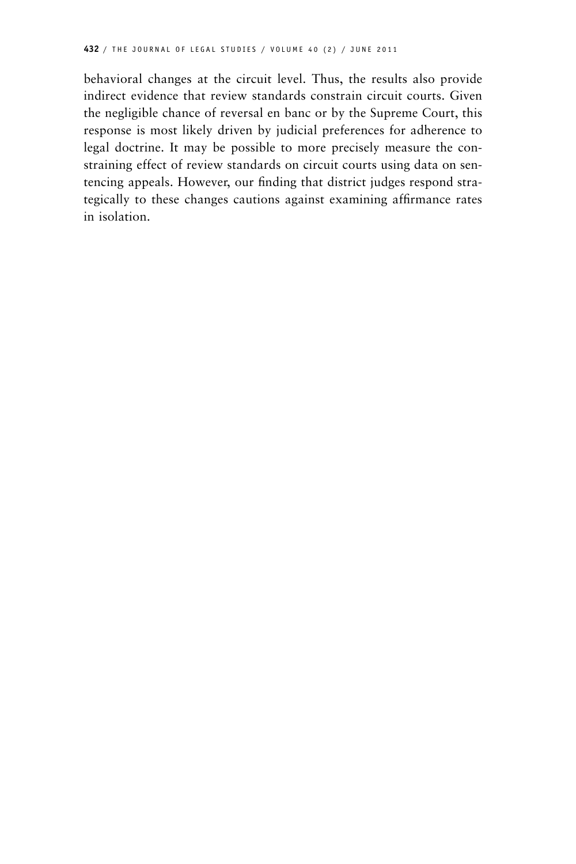behavioral changes at the circuit level. Thus, the results also provide indirect evidence that review standards constrain circuit courts. Given the negligible chance of reversal en banc or by the Supreme Court, this response is most likely driven by judicial preferences for adherence to legal doctrine. It may be possible to more precisely measure the constraining effect of review standards on circuit courts using data on sentencing appeals. However, our finding that district judges respond strategically to these changes cautions against examining affirmance rates in isolation.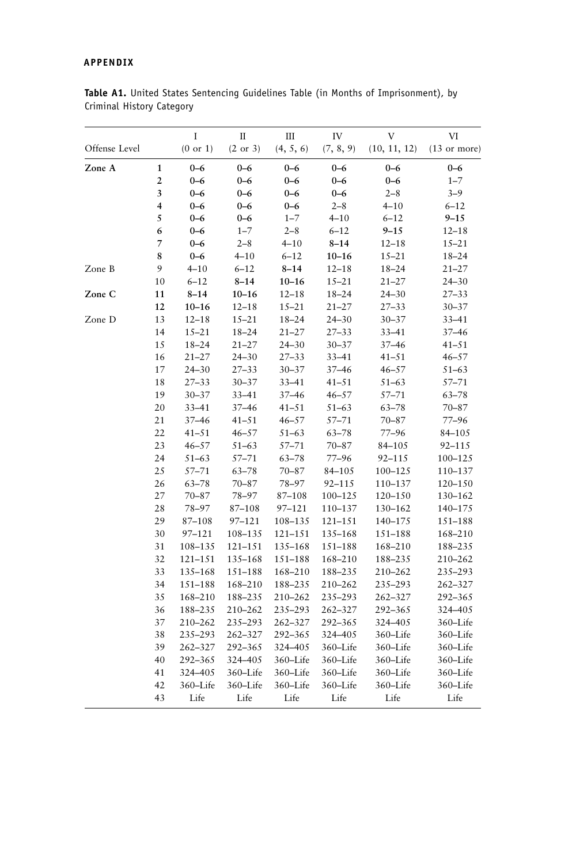# **APPENDIX**

|               |                | I         | $\rm II$  | Ш         | IV         | V            | VI             |
|---------------|----------------|-----------|-----------|-----------|------------|--------------|----------------|
| Offense Level |                | (0 or 1)  | (2 or 3)  | (4, 5, 6) | (7, 8, 9)  | (10, 11, 12) | $(13$ or more) |
| Zone A        | $\mathbf{1}$   | $0 - 6$   | $0 - 6$   | $0 - 6$   | $0 - 6$    | $0 - 6$      | $0 - 6$        |
|               | $\overline{2}$ | $0 - 6$   | $0 - 6$   | $0 - 6$   | $0 - 6$    | $0 - 6$      | $1 - 7$        |
|               | 3              | $0 - 6$   | $0 - 6$   | $0 - 6$   | $0 - 6$    | $2 - 8$      | $3 - 9$        |
|               | 4              | $0 - 6$   | $0 - 6$   | $0 - 6$   | $2 - 8$    | $4 - 10$     | $6 - 12$       |
|               | 5              | $0 - 6$   | $0 - 6$   | $1 - 7$   | $4 - 10$   | $6 - 12$     | $9 - 15$       |
|               | 6              | $0 - 6$   | $1 - 7$   | $2 - 8$   | $6 - 12$   | $9 - 15$     | $12 - 18$      |
|               | 7              | $0 - 6$   | $2 - 8$   | $4 - 10$  | $8 - 14$   | $12 - 18$    | $15 - 21$      |
|               | 8              | $0 - 6$   | $4 - 10$  | $6 - 12$  | $10 - 16$  | $15 - 21$    | $18 - 24$      |
| Zone B        | 9              | $4 - 10$  | $6 - 12$  | $8 - 14$  | $12 - 18$  | $18 - 24$    | $21 - 27$      |
|               | 10             | $6 - 12$  | $8 - 14$  | $10 - 16$ | $15 - 21$  | $21 - 27$    | $24 - 30$      |
| Zone C        | 11             | $8 - 14$  | $10 - 16$ | $12 - 18$ | $18 - 24$  | $24 - 30$    | $27 - 33$      |
|               | 12             | $10 - 16$ | $12 - 18$ | $15 - 21$ | $21 - 27$  | $27 - 33$    | $30 - 37$      |
| Zone D        | 13             | $12 - 18$ | $15 - 21$ | $18 - 24$ | $24 - 30$  | $30 - 37$    | $33 - 41$      |
|               | 14             | $15 - 21$ | $18 - 24$ | $21 - 27$ | $27 - 33$  | 33-41        | $37 - 46$      |
|               | 15             | $18 - 24$ | $21 - 27$ | $24 - 30$ | $30 - 37$  | 37-46        | $41 - 51$      |
|               | 16             | $21 - 27$ | $24 - 30$ | $27 - 33$ | $33 - 41$  | $41 - 51$    | $46 - 57$      |
|               | 17             | $24 - 30$ | $27 - 33$ | $30 - 37$ | 37-46      | $46 - 57$    | $51 - 63$      |
|               | 18             | $27 - 33$ | $30 - 37$ | $33 - 41$ | $41 - 51$  | $51 - 63$    | $57 - 71$      |
|               | 19             | $30 - 37$ | $33 - 41$ | $37 - 46$ | $46 - 57$  | $57 - 71$    | $63 - 78$      |
|               | 20             | $33 - 41$ | 37–46     | $41 - 51$ | $51 - 63$  | $63 - 78$    | $70 - 87$      |
|               | 21             | $37 - 46$ | $41 - 51$ | $46 - 57$ | $57 - 71$  | $70 - 87$    | $77 - 96$      |
|               | 22             | $41 - 51$ | $46 - 57$ | $51 - 63$ | $63 - 78$  | $77 - 96$    | 84-105         |
|               | 23             | $46 - 57$ | $51 - 63$ | $57 - 71$ | $70 - 87$  | 84-105       | 92-115         |
|               | 24             | $51 - 63$ | $57 - 71$ | $63 - 78$ | $77 - 96$  | $92 - 115$   | 100-125        |
|               | 25             | $57 - 71$ | $63 - 78$ | $70 - 87$ | 84-105     | 100-125      | 110–137        |
|               | 26             | $63 - 78$ | $70 - 87$ | 78-97     | $92 - 115$ | 110-137      | 120-150        |
|               | 27             | $70 - 87$ | 78-97     | 87-108    | 100-125    | 120-150      | 130-162        |
|               | 28             | 78-97     | 87-108    | 97-121    | 110-137    | 130-162      | 140-175        |
|               | 29             | 87-108    | 97-121    | 108-135   | 121-151    | 140-175      | 151-188        |
|               | 30             | 97-121    | 108-135   | 121-151   | 135-168    | 151-188      | 168-210        |
|               | 31             | 108-135   | 121-151   | 135-168   | 151-188    | 168-210      | 188-235        |
|               | 32             | 121-151   | 135-168   | 151-188   | 168-210    | 188-235      | 210-262        |
|               | 33             | 135-168   | 151-188   | 168-210   | 188-235    | 210-262      | 235-293        |
|               | 34             | 151-188   | 168-210   | 188-235   | 210-262    | 235-293      | 262-327        |
|               | 35             | 168-210   | 188-235   | 210-262   | 235-293    | 262-327      | 292-365        |
|               | 36             | 188-235   | 210-262   | 235-293   | 262-327    | 292-365      | 324-405        |
|               | 37             | 210-262   | 235-293   | 262-327   | 292-365    | 324-405      | 360-Life       |
|               | 38             | 235-293   | 262-327   | 292-365   | 324-405    | 360-Life     | 360-Life       |
|               | 39             | 262-327   | 292-365   | 324-405   | 360-Life   | 360-Life     | 360-Life       |
|               | 40             | 292-365   | 324-405   | 360-Life  | 360-Life   | 360-Life     | 360-Life       |
|               | 41             | 324-405   | 360-Life  | 360-Life  | 360-Life   | 360-Life     | 360-Life       |
|               | 42             | 360-Life  | 360-Life  | 360-Life  | 360-Life   | 360-Life     | 360-Life       |
|               | 43             | Life      | Life      | Life      | Life       | Life         | Life           |

**Table A1.** United States Sentencing Guidelines Table (in Months of Imprisonment), by Criminal History Category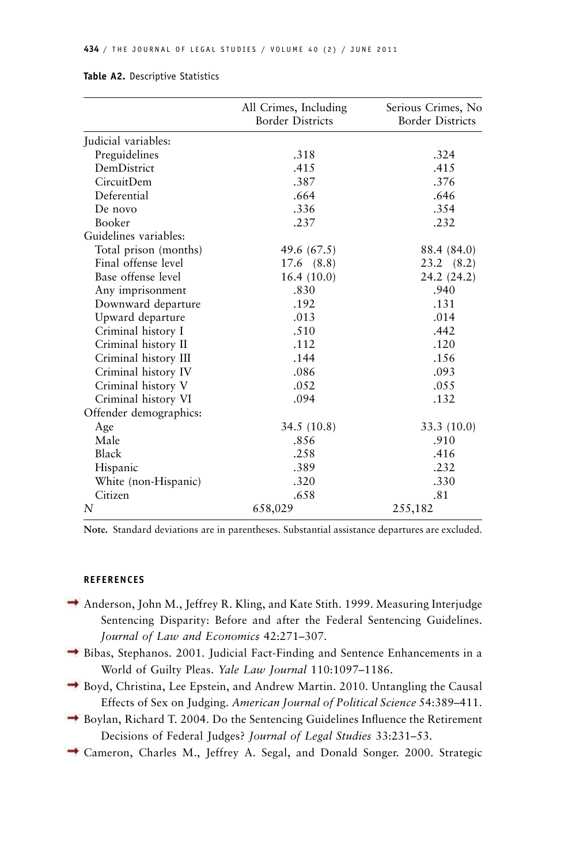|                        | All Crimes, Including<br><b>Border Districts</b> | Serious Crimes, No<br><b>Border Districts</b> |
|------------------------|--------------------------------------------------|-----------------------------------------------|
| Judicial variables:    |                                                  |                                               |
| Preguidelines          | .318                                             | .324                                          |
| DemDistrict            | .415                                             | .415                                          |
| <b>CircuitDem</b>      | .387                                             | .376                                          |
| Deferential            | .664                                             | .646                                          |
| De novo                | .336                                             | .354                                          |
| <b>Booker</b>          | .237                                             | .232                                          |
| Guidelines variables:  |                                                  |                                               |
| Total prison (months)  | 49.6 (67.5)                                      | 88.4 (84.0)                                   |
| Final offense level    | $17.6$ $(8.8)$                                   | $23.2 \quad (8.2)$                            |
| Base offense level     | 16.4(10.0)                                       | 24.2 (24.2)                                   |
| Any imprisonment       | .830                                             | .940                                          |
| Downward departure     | .192                                             | .131                                          |
| Upward departure       | .013                                             | .014                                          |
| Criminal history I     | .510                                             | .442                                          |
| Criminal history II    | .112                                             | .120                                          |
| Criminal history III   | .144                                             | .156                                          |
| Criminal history IV    | .086                                             | .093                                          |
| Criminal history V     | .052                                             | .055                                          |
| Criminal history VI    | .094                                             | .132                                          |
| Offender demographics: |                                                  |                                               |
| Age                    | 34.5(10.8)                                       | 33.3(10.0)                                    |
| Male                   | .856                                             | .910                                          |
| Black                  | .258                                             | .416                                          |
| Hispanic               | .389                                             | .232                                          |
| White (non-Hispanic)   | .320                                             | .330                                          |
| Citizen                | .658                                             | .81                                           |
| N                      | 658,029                                          | 255,182                                       |

#### **Table A2.** Descriptive Statistics

**Note.** Standard deviations are in parentheses. Substantial assistance departures are excluded.

#### **REFERENCES**

- Anderson, John M., Jeffrey R. Kling, and Kate Stith. 1999. Measuring Interjudge Sentencing Disparity: Before and after the Federal Sentencing Guidelines. *Journal of Law and Economics* 42:271–307.
- Bibas, Stephanos. 2001. Judicial Fact-Finding and Sentence Enhancements in a World of Guilty Pleas. *Yale Law Journal* 110:1097–1186.
- Boyd, Christina, Lee Epstein, and Andrew Martin. 2010. Untangling the Causal Effects of Sex on Judging. *American Journal of Political Science* 54:389–411.
- Boylan, Richard T. 2004. Do the Sentencing Guidelines Influence the Retirement Decisions of Federal Judges? *Journal of Legal Studies* 33:231–53.
- Cameron, Charles M., Jeffrey A. Segal, and Donald Songer. 2000. Strategic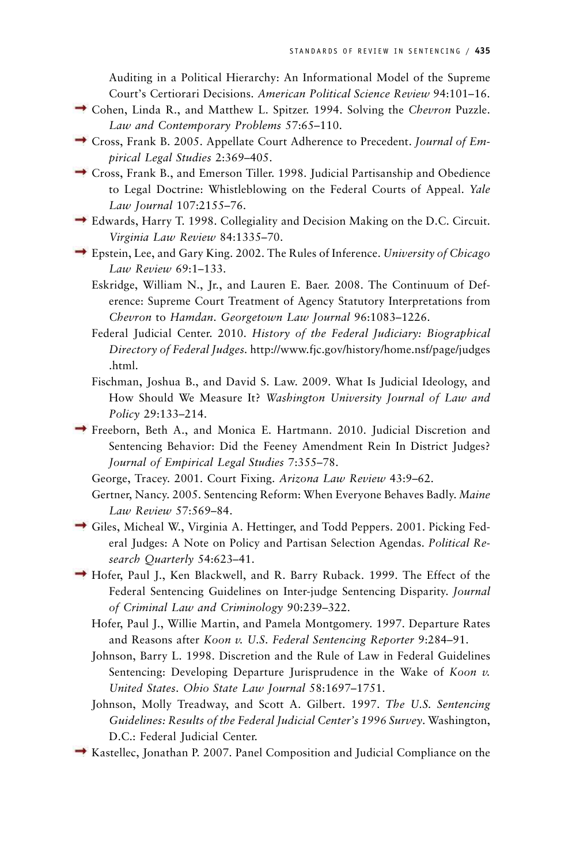Auditing in a Political Hierarchy: An Informational Model of the Supreme Court's Certiorari Decisions. *American Political Science Review* 94:101–16.

- Cohen, Linda R., and Matthew L. Spitzer. 1994. Solving the *Chevron* Puzzle. *Law and Contemporary Problems* 57:65–110.
- Cross, Frank B. 2005. Appellate Court Adherence to Precedent. *Journal of Empirical Legal Studies* 2:369–405.
- Cross, Frank B., and Emerson Tiller. 1998. Judicial Partisanship and Obedience to Legal Doctrine: Whistleblowing on the Federal Courts of Appeal. *Yale Law Journal* 107:2155–76.
- Edwards, Harry T. 1998. Collegiality and Decision Making on the D.C. Circuit. *Virginia Law Review* 84:1335–70.
- Epstein, Lee, and Gary King. 2002. The Rules of Inference. *University of Chicago Law Review* 69:1–133.
	- Eskridge, William N., Jr., and Lauren E. Baer. 2008. The Continuum of Deference: Supreme Court Treatment of Agency Statutory Interpretations from *Chevron* to *Hamdan*. *Georgetown Law Journal* 96:1083–1226.
	- Federal Judicial Center. 2010. *History of the Federal Judiciary: Biographical Directory of Federal Judges.* [http://www.fjc.gov/history/home.nsf/page/judges](http://www.fjc.gov/history/home.nsf/page/judges.html) [.html.](http://www.fjc.gov/history/home.nsf/page/judges.html)
	- Fischman, Joshua B., and David S. Law. 2009. What Is Judicial Ideology, and How Should We Measure It? *Washington University Journal of Law and Policy* 29:133–214.
- Freeborn, Beth A., and Monica E. Hartmann. 2010. Judicial Discretion and Sentencing Behavior: Did the Feeney Amendment Rein In District Judges? *Journal of Empirical Legal Studies* 7:355–78.
	- George, Tracey. 2001. Court Fixing. *Arizona Law Review* 43:9–62.
	- Gertner, Nancy. 2005. Sentencing Reform: When Everyone Behaves Badly. *Maine Law Review* 57:569–84.
- Giles, Micheal W., Virginia A. Hettinger, and Todd Peppers. 2001. Picking Federal Judges: A Note on Policy and Partisan Selection Agendas. *Political Research Quarterly* 54:623–41.
- Hofer, Paul J., Ken Blackwell, and R. Barry Ruback. 1999. The Effect of the Federal Sentencing Guidelines on Inter-judge Sentencing Disparity. *Journal of Criminal Law and Criminology* 90:239–322.
	- Hofer, Paul J., Willie Martin, and Pamela Montgomery. 1997. Departure Rates and Reasons after *Koon v. U.S*. *Federal Sentencing Reporter* 9:284–91.
	- Johnson, Barry L. 1998. Discretion and the Rule of Law in Federal Guidelines Sentencing: Developing Departure Jurisprudence in the Wake of *Koon v. United States*. *Ohio State Law Journal* 58:1697–1751.
	- Johnson, Molly Treadway, and Scott A. Gilbert. 1997. *The U.S. Sentencing Guidelines: Results of the Federal Judicial Center's 1996 Survey*. Washington, D.C.: Federal Judicial Center.
- Kastellec, Jonathan P. 2007. Panel Composition and Judicial Compliance on the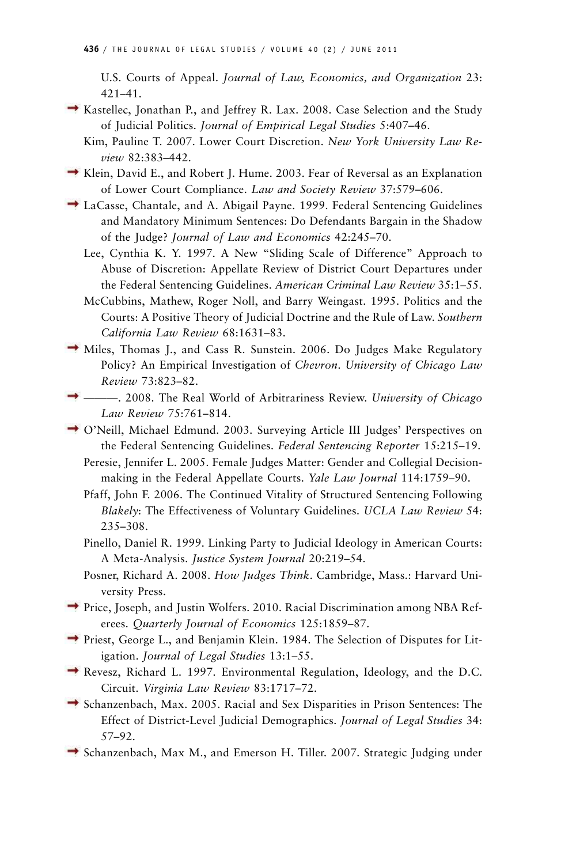U.S. Courts of Appeal. *Journal of Law, Economics, and Organization* 23: 421–41.

- Kastellec, Jonathan P., and Jeffrey R. Lax. 2008. Case Selection and the Study of Judicial Politics. *Journal of Empirical Legal Studies* 5:407–46.
	- Kim, Pauline T. 2007. Lower Court Discretion. *New York University Law Review* 82:383–442.
- Klein, David E., and Robert J. Hume. 2003. Fear of Reversal as an Explanation of Lower Court Compliance. *Law and Society Review* 37:579–606.
- LaCasse, Chantale, and A. Abigail Payne. 1999. Federal Sentencing Guidelines and Mandatory Minimum Sentences: Do Defendants Bargain in the Shadow of the Judge? *Journal of Law and Economics* 42:245–70.
	- Lee, Cynthia K. Y. 1997. A New "Sliding Scale of Difference" Approach to Abuse of Discretion: Appellate Review of District Court Departures under the Federal Sentencing Guidelines. *American Criminal Law Review* 35:1–55.
	- McCubbins, Mathew, Roger Noll, and Barry Weingast. 1995. Politics and the Courts: A Positive Theory of Judicial Doctrine and the Rule of Law. *Southern California Law Review* 68:1631–83.
- Miles, Thomas J., and Cass R. Sunstein. 2006. Do Judges Make Regulatory Policy? An Empirical Investigation of *Chevron*. *University of Chicago Law Review* 73:823–82.
- ———. 2008. The Real World of Arbitrariness Review. *University of Chicago Law Review* 75:761–814.
- O'Neill, Michael Edmund. 2003. Surveying Article III Judges' Perspectives on the Federal Sentencing Guidelines. *Federal Sentencing Reporter* 15:215–19.
	- Peresie, Jennifer L. 2005. Female Judges Matter: Gender and Collegial Decisionmaking in the Federal Appellate Courts. *Yale Law Journal* 114:1759–90.
	- Pfaff, John F. 2006. The Continued Vitality of Structured Sentencing Following *Blakely*: The Effectiveness of Voluntary Guidelines. *UCLA Law Review* 54: 235–308.
	- Pinello, Daniel R. 1999. Linking Party to Judicial Ideology in American Courts: A Meta-Analysis. *Justice System Journal* 20:219–54.
	- Posner, Richard A. 2008. *How Judges Think*. Cambridge, Mass.: Harvard University Press.
- Price, Joseph, and Justin Wolfers. 2010. Racial Discrimination among NBA Referees. *Quarterly Journal of Economics* 125:1859–87.
- Priest, George L., and Benjamin Klein. 1984. The Selection of Disputes for Litigation. *Journal of Legal Studies* 13:1–55.
- Revesz, Richard L. 1997. Environmental Regulation, Ideology, and the D.C. Circuit. *Virginia Law Review* 83:1717–72.
- Schanzenbach, Max. 2005. Racial and Sex Disparities in Prison Sentences: The Effect of District-Level Judicial Demographics. *Journal of Legal Studies* 34: 57–92.
- Schanzenbach, Max M., and Emerson H. Tiller. 2007. Strategic Judging under